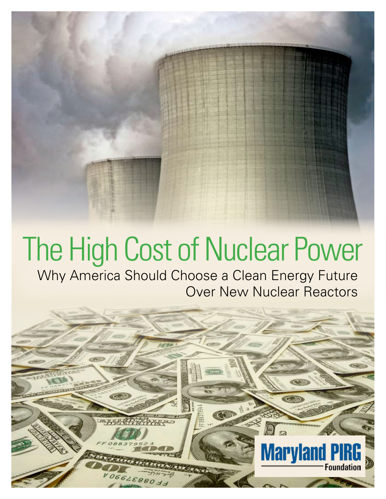# The High Cost of Nuclear Power

Why America Should Choose a Clean Energy Future Over New Nuclear Reactors

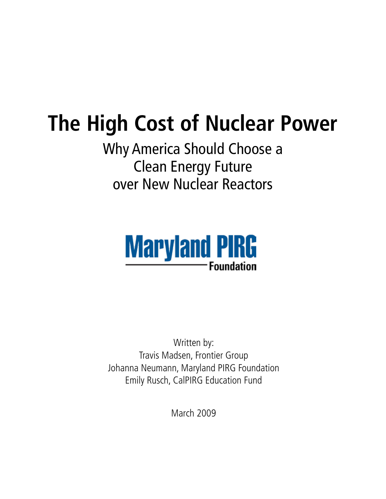## **The High Cost of Nuclear Power**

Why America Should Choose a Clean Energy Future over New Nuclear Reactors



Written by: Travis Madsen, Frontier Group Johanna Neumann, Maryland PIRG Foundation Emily Rusch, CalPIRG Education Fund

March 2009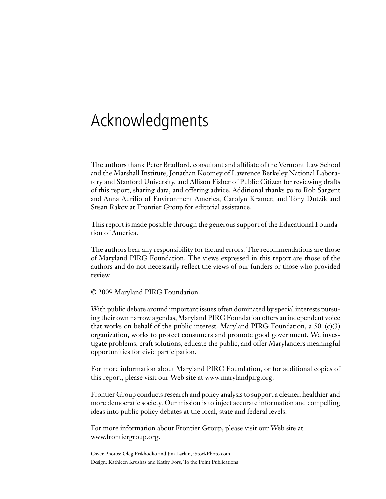## Acknowledgments

The authors thank Peter Bradford, consultant and affiliate of the Vermont Law School and the Marshall Institute, Jonathan Koomey of Lawrence Berkeley National Laboratory and Stanford University, and Allison Fisher of Public Citizen for reviewing drafts of this report, sharing data, and offering advice. Additional thanks go to Rob Sargent and Anna Aurilio of Environment America, Carolyn Kramer, and Tony Dutzik and Susan Rakov at Frontier Group for editorial assistance.

This report is made possible through the generous support of the Educational Foundation of America.

The authors bear any responsibility for factual errors. The recommendations are those of Maryland PIRG Foundation. The views expressed in this report are those of the authors and do not necessarily reflect the views of our funders or those who provided review.

© 2009 Maryland PIRG Foundation.

With public debate around important issues often dominated by special interests pursuing their own narrow agendas, Maryland PIRG Foundation offers an independent voice that works on behalf of the public interest. Maryland PIRG Foundation, a  $501(c)(3)$ organization, works to protect consumers and promote good government. We investigate problems, craft solutions, educate the public, and offer Marylanders meaningful opportunities for civic participation.

For more information about Maryland PIRG Foundation, or for additional copies of this report, please visit our Web site at www.marylandpirg.org.

Frontier Group conducts research and policy analysis to support a cleaner, healthier and more democratic society. Our mission is to inject accurate information and compelling ideas into public policy debates at the local, state and federal levels.

For more information about Frontier Group, please visit our Web site at www.frontiergroup.org.

Cover Photos: Oleg Prikhodko and Jim Larkin, iStockPhoto.com Design: Kathleen Krushas and Kathy Fors, To the Point Publications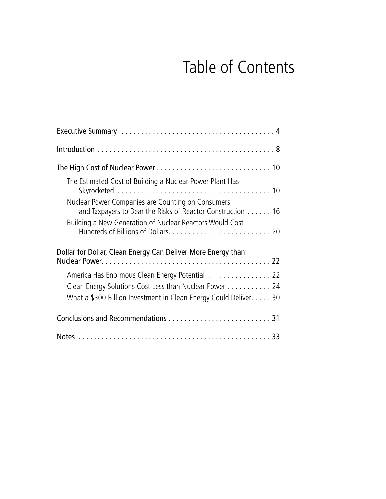## Table of Contents

| The Estimated Cost of Building a Nuclear Power Plant Has                                                                    |
|-----------------------------------------------------------------------------------------------------------------------------|
| Nuclear Power Companies are Counting on Consumers<br>and Taxpayers to Bear the Risks of Reactor Construction 16             |
| Building a New Generation of Nuclear Reactors Would Cost                                                                    |
| Dollar for Dollar, Clean Energy Can Deliver More Energy than                                                                |
| America Has Enormous Clean Energy Potential 22                                                                              |
| Clean Energy Solutions Cost Less than Nuclear Power 24<br>What a \$300 Billion Investment in Clean Energy Could Deliver. 30 |
|                                                                                                                             |
|                                                                                                                             |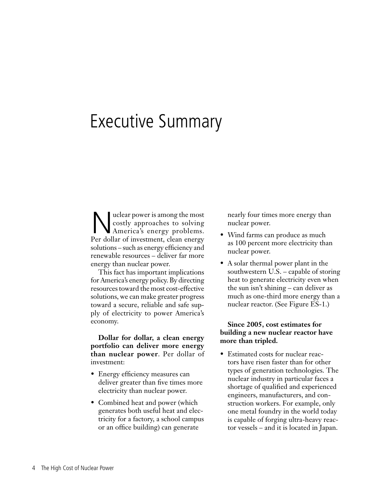## Executive Summary

Nuclear power is among the most<br>costly approaches to solving<br>America's energy problems. costly approaches to solving America's energy problems. Per dollar of investment, clean energy solutions – such as energy efficiency and renewable resources – deliver far more energy than nuclear power.

This fact has important implications for America's energy policy. By directing resources toward the most cost-effective solutions, we can make greater progress toward a secure, reliable and safe supply of electricity to power America's economy.

**Dollar for dollar, a clean energy portfolio can deliver more energy than nuclear power**. Per dollar of investment:

- • Energy efficiency measures can deliver greater than five times more electricity than nuclear power.
- Combined heat and power (which generates both useful heat and electricity for a factory, a school campus or an office building) can generate

nearly four times more energy than nuclear power.

- Wind farms can produce as much as 100 percent more electricity than nuclear power.
- A solar thermal power plant in the southwestern U.S. – capable of storing heat to generate electricity even when the sun isn't shining – can deliver as much as one-third more energy than a nuclear reactor. (See Figure ES-1.)

#### **Since 2005, cost estimates for building a new nuclear reactor have more than tripled.**

• Estimated costs for nuclear reactors have risen faster than for other types of generation technologies. The nuclear industry in particular faces a shortage of qualified and experienced engineers, manufacturers, and construction workers. For example, only one metal foundry in the world today is capable of forging ultra-heavy reactor vessels – and it is located in Japan.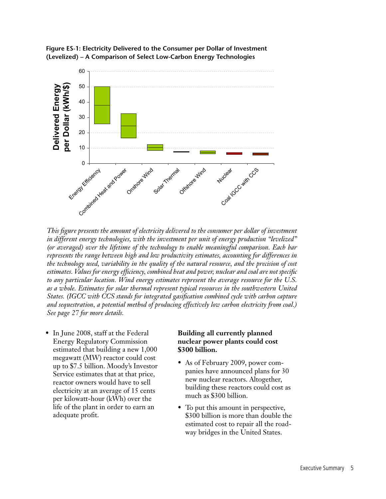

![](_page_5_Figure_1.jpeg)

*This figure presents the amount of electricity delivered to the consumer per dollar of investment in different energy technologies, with the investment per unit of energy production "levelized" (or averaged) over the lifetime of the technology to enable meaningful comparison. Each bar represents the range between high and low productivity estimates, accounting for differences in the technology used, variability in the quality of the natural resource, and the precision of cost estimates. Values for energy efficiency, combined heat and power, nuclear and coal are not specific to any particular location. Wind energy estimates represent the average resource for the U.S. as a whole. Estimates for solar thermal represent typical resources in the southwestern United States. (IGCC with CCS stands for integrated gasification combined cycle with carbon capture and sequestration, a potential method of producing effectively low carbon electricity from coal.) See page 27 for more details.*

• In June 2008, staff at the Federal Energy Regulatory Commission estimated that building a new 1,000 megawatt (MW) reactor could cost up to \$7.5 billion. Moody's Investor Service estimates that at that price, reactor owners would have to sell electricity at an average of 15 cents per kilowatt-hour (kWh) over the life of the plant in order to earn an adequate profit.

#### **Building all currently planned nuclear power plants could cost \$300 billion.**

- As of February 2009, power companies have announced plans for 30 new nuclear reactors. Altogether, building these reactors could cost as much as \$300 billion.
- To put this amount in perspective, \$300 billion is more than double the estimated cost to repair all the roadway bridges in the United States.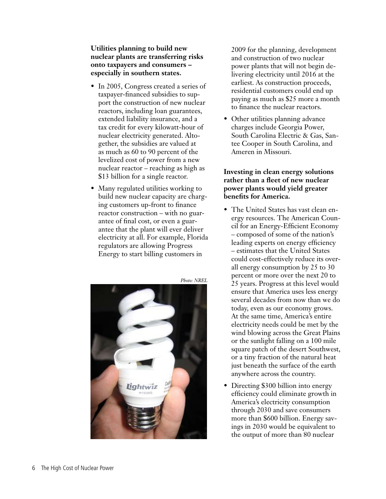**Utilities planning to build new nuclear plants are transferring risks onto taxpayers and consumers – especially in southern states.**

- In 2005, Congress created a series of taxpayer-financed subsidies to support the construction of new nuclear reactors, including loan guarantees, extended liability insurance, and a tax credit for every kilowatt-hour of nuclear electricity generated. Altogether, the subsidies are valued at as much as 60 to 90 percent of the levelized cost of power from a new nuclear reactor – reaching as high as \$13 billion for a single reactor.
- Many regulated utilities working to build new nuclear capacity are charging customers up-front to finance reactor construction – with no guarantee of final cost, or even a guarantee that the plant will ever deliver electricity at all. For example, Florida regulators are allowing Progress Energy to start billing customers in

![](_page_6_Picture_3.jpeg)

2009 for the planning, development and construction of two nuclear power plants that will not begin delivering electricity until 2016 at the earliest. As construction proceeds, residential customers could end up paying as much as \$25 more a month to finance the nuclear reactors.

• Other utilities planning advance charges include Georgia Power, South Carolina Electric & Gas, Santee Cooper in South Carolina, and Ameren in Missouri.

#### **Investing in clean energy solutions rather than a fleet of new nuclear power plants would yield greater benefits for America.**

- The United States has vast clean energy resources. The American Council for an Energy-Efficient Economy – composed of some of the nation's leading experts on energy efficiency – estimates that the United States could cost-effectively reduce its overall energy consumption by 25 to 30 percent or more over the next 20 to 25 years. Progress at this level would ensure that America uses less energy several decades from now than we do today, even as our economy grows. At the same time, America's entire electricity needs could be met by the wind blowing across the Great Plains or the sunlight falling on a 100 mile square patch of the desert Southwest, or a tiny fraction of the natural heat just beneath the surface of the earth anywhere across the country.
- Directing \$300 billion into energy efficiency could eliminate growth in America's electricity consumption through 2030 and save consumers more than \$600 billion. Energy savings in 2030 would be equivalent to the output of more than 80 nuclear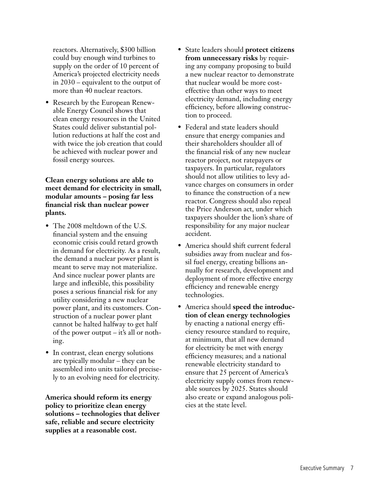reactors. Alternatively, \$300 billion could buy enough wind turbines to supply on the order of 10 percent of America's projected electricity needs in 2030 – equivalent to the output of more than 40 nuclear reactors.

• Research by the European Renewable Energy Council shows that clean energy resources in the United States could deliver substantial pollution reductions at half the cost and with twice the job creation that could be achieved with nuclear power and fossil energy sources.

**Clean energy solutions are able to meet demand for electricity in small, modular amounts – posing far less financial risk than nuclear power plants.**

- The 2008 meltdown of the U.S. financial system and the ensuing economic crisis could retard growth in demand for electricity. As a result, the demand a nuclear power plant is meant to serve may not materialize. And since nuclear power plants are large and inflexible, this possibility poses a serious financial risk for any utility considering a new nuclear power plant, and its customers. Construction of a nuclear power plant cannot be halted halfway to get half of the power output – it's all or nothing.
- In contrast, clean energy solutions are typically modular – they can be assembled into units tailored precisely to an evolving need for electricity.

**America should reform its energy policy to prioritize clean energy solutions – technologies that deliver safe, reliable and secure electricity supplies at a reasonable cost.** 

- • State leaders should **protect citizens from unnecessary risks** by requiring any company proposing to build a new nuclear reactor to demonstrate that nuclear would be more costeffective than other ways to meet electricity demand, including energy efficiency, before allowing construction to proceed.
- Federal and state leaders should ensure that energy companies and their shareholders shoulder all of the financial risk of any new nuclear reactor project, not ratepayers or taxpayers. In particular, regulators should not allow utilities to levy advance charges on consumers in order to finance the construction of a new reactor. Congress should also repeal the Price Anderson act, under which taxpayers shoulder the lion's share of responsibility for any major nuclear accident.
- • America should shift current federal subsidies away from nuclear and fossil fuel energy, creating billions annually for research, development and deployment of more effective energy efficiency and renewable energy technologies.
- • America should **speed the introduction of clean energy technologies** by enacting a national energy efficiency resource standard to require, at minimum, that all new demand for electricity be met with energy efficiency measures; and a national renewable electricity standard to ensure that 25 percent of America's electricity supply comes from renewable sources by 2025. States should also create or expand analogous policies at the state level.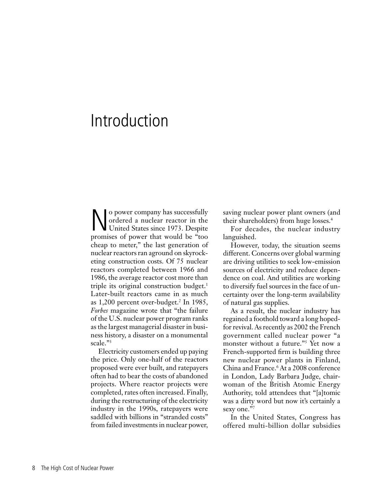## Introduction

No power company has successfully<br>ordered a nuclear reactor in the<br>United States since 1973. Despite ordered a nuclear reactor in the United States since 1973. Despite promises of power that would be "too cheap to meter," the last generation of nuclear reactors ran aground on skyrocketing construction costs. Of 75 nuclear reactors completed between 1966 and 1986, the average reactor cost more than triple its original construction budget.<sup>1</sup> Later-built reactors came in as much as 1,200 percent over-budget.2 In 1985, *Forbes* magazine wrote that "the failure of the U.S. nuclear power program ranks as the largest managerial disaster in business history, a disaster on a monumental scale."3

Electricity customers ended up paying the price. Only one-half of the reactors proposed were ever built, and ratepayers often had to bear the costs of abandoned projects. Where reactor projects were completed, rates often increased. Finally, during the restructuring of the electricity industry in the 1990s, ratepayers were saddled with billions in "stranded costs" from failed investments in nuclear power,

saving nuclear power plant owners (and their shareholders) from huge losses.4

For decades, the nuclear industry languished.

However, today, the situation seems different. Concerns over global warming are driving utilities to seek low-emission sources of electricity and reduce dependence on coal. And utilities are working to diversify fuel sources in the face of uncertainty over the long-term availability of natural gas supplies.

As a result, the nuclear industry has regained a foothold toward a long hopedfor revival. As recently as 2002 the French government called nuclear power "a monster without a future."5 Yet now a French-supported firm is building three new nuclear power plants in Finland, China and France.<sup>6</sup> At a 2008 conference in London, Lady Barbara Judge, chairwoman of the British Atomic Energy Authority, told attendees that "[a]tomic was a dirty word but now it's certainly a sexy one."7

In the United States, Congress has offered multi-billion dollar subsidies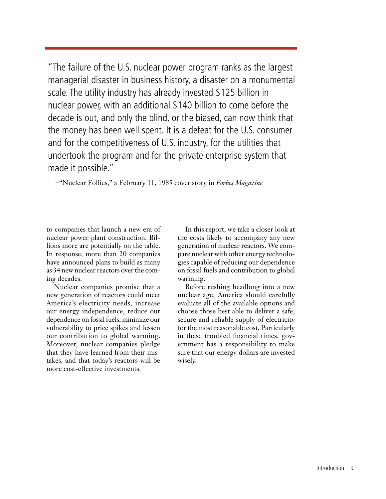"The failure of the U.S. nuclear power program ranks as the largest managerial disaster in business history, a disaster on a monumental scale. The utility industry has already invested \$125 billion in nuclear power, with an additional \$140 billion to come before the decade is out, and only the blind, or the biased, can now think that the money has been well spent. It is a defeat for the U.S. consumer and for the competitiveness of U.S. industry, for the utilities that undertook the program and for the private enterprise system that made it possible."

–"Nuclear Follies," a February 11, 1985 cover story in *Forbes Magazine*

to companies that launch a new era of nuclear power plant construction. Billions more are potentially on the table. In response, more than 20 companies have announced plans to build as many as 34 new nuclear reactors over the coming decades.

Nuclear companies promise that a new generation of reactors could meet America's electricity needs, increase our energy independence, reduce our dependence on fossil fuels, minimize our vulnerability to price spikes and lessen our contribution to global warming. Moreover, nuclear companies pledge that they have learned from their mistakes, and that today's reactors will be more cost-effective investments.

In this report, we take a closer look at the costs likely to accompany any new generation of nuclear reactors. We compare nuclear with other energy technologies capable of reducing our dependence on fossil fuels and contribution to global warming.

Before rushing headlong into a new nuclear age, America should carefully evaluate all of the available options and choose those best able to deliver a safe, secure and reliable supply of electricity for the most reasonable cost. Particularly in these troubled financial times, government has a responsibility to make sure that our energy dollars are invested wisely.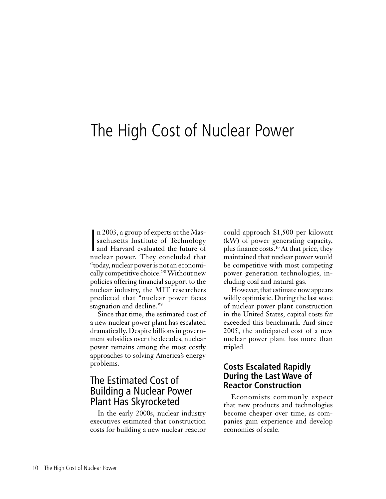## The High Cost of Nuclear Power

n 2003, a group of experts at the Massachusetts Institute of Technology<br>and Harvard evaluated the future of<br>pucker power. They concluded that n 2003, a group of experts at the Massachusetts Institute of Technology nuclear power. They concluded that "today, nuclear power is not an economically competitive choice."<sup>8</sup> Without new policies offering financial support to the nuclear industry, the MIT researchers predicted that "nuclear power faces stagnation and decline."<sup>9</sup>

Since that time, the estimated cost of a new nuclear power plant has escalated dramatically. Despite billions in government subsidies over the decades, nuclear power remains among the most costly approaches to solving America's energy problems.

### The Estimated Cost of Building a Nuclear Power Plant Has Skyrocketed

In the early 2000s, nuclear industry executives estimated that construction costs for building a new nuclear reactor could approach \$1,500 per kilowatt (kW) of power generating capacity, plus finance costs.10 At that price, they maintained that nuclear power would be competitive with most competing power generation technologies, including coal and natural gas.

However, that estimate now appears wildly optimistic. During the last wave of nuclear power plant construction in the United States, capital costs far exceeded this benchmark. And since 2005, the anticipated cost of a new nuclear power plant has more than tripled.

#### **Costs Escalated Rapidly During the Last Wave of Reactor Construction**

Economists commonly expect that new products and technologies become cheaper over time, as companies gain experience and develop economies of scale.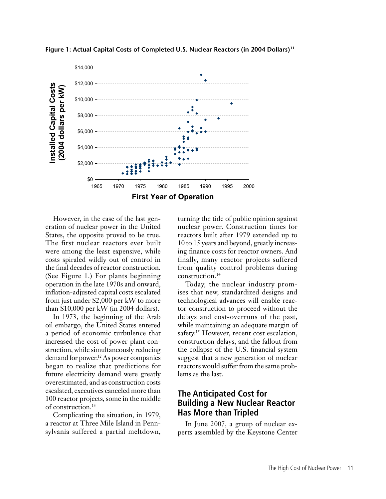![](_page_11_Figure_0.jpeg)

**Figure 1: Actual Capital Costs of Completed U.S. Nuclear Reactors (in 2004 Dollars)11**

However, in the case of the last generation of nuclear power in the United States, the opposite proved to be true. The first nuclear reactors ever built were among the least expensive, while costs spiraled wildly out of control in the final decades of reactor construction. (See Figure 1.) For plants beginning operation in the late 1970s and onward, inflation-adjusted capital costs escalated from just under \$2,000 per kW to more than \$10,000 per kW (in 2004 dollars).

In 1973, the beginning of the Arab oil embargo, the United States entered a period of economic turbulence that increased the cost of power plant construction, while simultaneously reducing demand for power.<sup>12</sup> As power companies began to realize that predictions for future electricity demand were greatly overestimated, and as construction costs escalated, executives canceled more than 100 reactor projects, some in the middle of construction.<sup>13</sup>

Complicating the situation, in 1979, a reactor at Three Mile Island in Pennsylvania suffered a partial meltdown, turning the tide of public opinion against nuclear power. Construction times for reactors built after 1979 extended up to 10 to 15 years and beyond, greatly increasing finance costs for reactor owners. And finally, many reactor projects suffered from quality control problems during construction.<sup>14</sup>

Today, the nuclear industry promises that new, standardized designs and technological advances will enable reactor construction to proceed without the delays and cost-overruns of the past, while maintaining an adequate margin of safety.<sup>15</sup> However, recent cost escalation, construction delays, and the fallout from the collapse of the U.S. financial system suggest that a new generation of nuclear reactors would suffer from the same problems as the last.

#### **The Anticipated Cost for Building a New Nuclear Reactor Has More than Tripled**

In June 2007, a group of nuclear experts assembled by the Keystone Center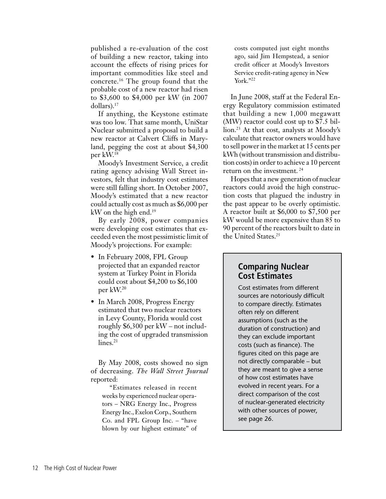published a re-evaluation of the cost of building a new reactor, taking into account the effects of rising prices for important commodities like steel and concrete.16 The group found that the probable cost of a new reactor had risen to \$3,600 to \$4,000 per kW (in 2007 dollars).17

If anything, the Keystone estimate was too low. That same month, UniStar Nuclear submitted a proposal to build a new reactor at Calvert Cliffs in Maryland, pegging the cost at about \$4,300 per kW.18

Moody's Investment Service, a credit rating agency advising Wall Street investors, felt that industry cost estimates were still falling short. In October 2007, Moody's estimated that a new reactor could actually cost as much as \$6,000 per kW on the high end.19

By early 2008, power companies were developing cost estimates that exceeded even the most pessimistic limit of Moody's projections. For example:

- In February 2008, FPL Group projected that an expanded reactor system at Turkey Point in Florida could cost about \$4,200 to \$6,100 per kW.<sup>20</sup>
- In March 2008, Progress Energy estimated that two nuclear reactors in Levy County, Florida would cost roughly \$6,300 per kW – not including the cost of upgraded transmission  $lines.<sup>21</sup>$

By May 2008, costs showed no sign of decreasing. *The Wall Street Journal*  reported:

"Estimates released in recent weeks by experienced nuclear operators – NRG Energy Inc., Progress Energy Inc.,Exelon Corp., Southern Co. and FPL Group Inc. – "have blown by our highest estimate" of costs computed just eight months ago, said Jim Hempstead, a senior credit officer at Moody's Investors Service credit-rating agency in New York."22

In June 2008, staff at the Federal Energy Regulatory commission estimated that building a new 1,000 megawatt (MW) reactor could cost up to \$7.5 billion.<sup>23</sup> At that cost, analysts at Moody's calculate that reactor owners would have to sell power in the market at 15 cents per kWh (without transmission and distribution costs) in order to achieve a 10 percent return on the investment. <sup>24</sup>

Hopes that a new generation of nuclear reactors could avoid the high construction costs that plagued the industry in the past appear to be overly optimistic. A reactor built at \$6,000 to \$7,500 per kW would be more expensive than 85 to 90 percent of the reactors built to date in the United States.<sup>25</sup>

#### **Comparing Nuclear Cost Estimates**

Cost estimates from different sources are notoriously difficult to compare directly. Estimates often rely on different assumptions (such as the duration of construction) and they can exclude important costs (such as finance). The figures cited on this page are not directly comparable – but they are meant to give a sense of how cost estimates have evolved in recent years. For a direct comparison of the cost of nuclear-generated electricity with other sources of power, see page 26.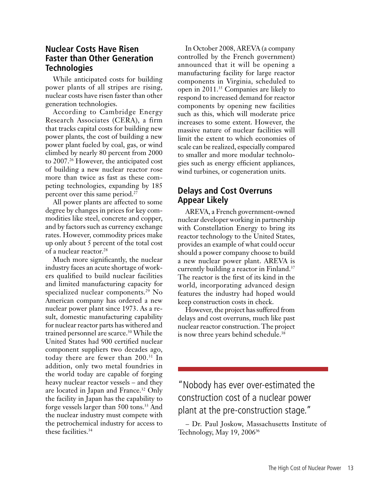#### **Nuclear Costs Have Risen Faster than Other Generation Technologies**

While anticipated costs for building power plants of all stripes are rising, nuclear costs have risen faster than other generation technologies.

According to Cambridge Energy Research Associates (CERA), a firm that tracks capital costs for building new power plants, the cost of building a new power plant fueled by coal, gas, or wind climbed by nearly 80 percent from 2000 to 2007.<sup>26</sup> However, the anticipated cost of building a new nuclear reactor rose more than twice as fast as these competing technologies, expanding by 185 percent over this same period.<sup>27</sup>

All power plants are affected to some degree by changes in prices for key commodities like steel, concrete and copper, and by factors such as currency exchange rates. However, commodity prices make up only about 5 percent of the total cost of a nuclear reactor.<sup>28</sup>

Much more significantly, the nuclear industry faces an acute shortage of workers qualified to build nuclear facilities and limited manufacturing capacity for specialized nuclear components.<sup>29</sup> No American company has ordered a new nuclear power plant since 1973. As a result, domestic manufacturing capability for nuclear reactor parts has withered and trained personnel are scarce.<sup>30</sup> While the United States had 900 certified nuclear component suppliers two decades ago, today there are fewer than 200.<sup>31</sup> In addition, only two metal foundries in the world today are capable of forging heavy nuclear reactor vessels – and they are located in Japan and France.<sup>32</sup> Only the facility in Japan has the capability to forge vessels larger than 500 tons.33 And the nuclear industry must compete with the petrochemical industry for access to these facilities.<sup>34</sup>

In October 2008, AREVA (a company controlled by the French government) announced that it will be opening a manufacturing facility for large reactor components in Virginia, scheduled to open in 2011.<sup>35</sup> Companies are likely to respond to increased demand for reactor components by opening new facilities such as this, which will moderate price increases to some extent. However, the massive nature of nuclear facilities will limit the extent to which economies of scale can be realized, especially compared to smaller and more modular technologies such as energy efficient appliances, wind turbines, or cogeneration units.

### **Delays and Cost Overruns Appear Likely**

AREVA, a French government-owned nuclear developer working in partnership with Constellation Energy to bring its reactor technology to the United States, provides an example of what could occur should a power company choose to build a new nuclear power plant. AREVA is currently building a reactor in Finland.<sup>37</sup> The reactor is the first of its kind in the world, incorporating advanced design features the industry had hoped would keep construction costs in check.

However, the project has suffered from delays and cost overruns, much like past nuclear reactor construction. The project is now three years behind schedule.<sup>38</sup>

"Nobody has ever over-estimated the construction cost of a nuclear power plant at the pre-construction stage."

– Dr. Paul Joskow, Massachusetts Institute of Technology, May 19, 2006<sup>36</sup>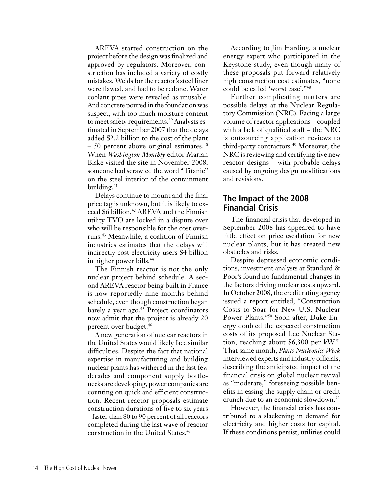AREVA started construction on the project before the design was finalized and approved by regulators. Moreover, construction has included a variety of costly mistakes. Welds for the reactor's steel liner were flawed, and had to be redone. Water coolant pipes were revealed as unusable. And concrete poured in the foundation was suspect, with too much moisture content to meet safety requirements.<sup>39</sup> Analysts estimated in September 2007 that the delays added \$2.2 billion to the cost of the plant  $-50$  percent above original estimates.<sup>40</sup> When *Washington Monthly* editor Mariah Blake visited the site in November 2008, someone had scrawled the word "Titanic" on the steel interior of the containment building.<sup>41</sup>

Delays continue to mount and the final price tag is unknown, but it is likely to exceed \$6 billion.<sup>42</sup> AREVA and the Finnish utility TVO are locked in a dispute over who will be responsible for the cost overruns.43 Meanwhile, a coalition of Finnish industries estimates that the delays will indirectly cost electricity users \$4 billion in higher power bills.44

The Finnish reactor is not the only nuclear project behind schedule. A second AREVA reactor being built in France is now reportedly nine months behind schedule, even though construction began barely a year ago.<sup>45</sup> Project coordinators now admit that the project is already 20 percent over budget.46

A new generation of nuclear reactors in the United States would likely face similar difficulties. Despite the fact that national expertise in manufacturing and building nuclear plants has withered in the last few decades and component supply bottlenecks are developing, power companies are counting on quick and efficient construction. Recent reactor proposals estimate construction durations of five to six years – faster than  $80$  to  $90$  percent of all reactors completed during the last wave of reactor construction in the United States.<sup>47</sup>

According to Jim Harding, a nuclear energy expert who participated in the Keystone study, even though many of these proposals put forward relatively high construction cost estimates, "none could be called 'worst case'."<sup>48</sup>

Further complicating matters are possible delays at the Nuclear Regulatory Commission (NRC). Facing a large volume of reactor applications – coupled with a lack of qualified staff – the NRC is outsourcing application reviews to third-party contractors.<sup>49</sup> Moreover, the NRC is reviewing and certifying five new reactor designs – with probable delays caused by ongoing design modifications and revisions.

#### **The Impact of the 2008 Financial Crisis**

The financial crisis that developed in September 2008 has appeared to have little effect on price escalation for new nuclear plants, but it has created new obstacles and risks.

Despite depressed economic conditions, investment analysts at Standard & Poor's found no fundamental changes in the factors driving nuclear costs upward. In October 2008, the credit rating agency issued a report entitled, "Construction Costs to Soar for New U.S. Nuclear Power Plants."50 Soon after, Duke Energy doubled the expected construction costs of its proposed Lee Nuclear Station, reaching about \$6,300 per kW.<sup>51</sup> That same month, *Platts Nucleonics Week* interviewed experts and industry officials, describing the anticipated impact of the financial crisis on global nuclear revival as "moderate," foreseeing possible benefits in easing the supply chain or credit crunch due to an economic slowdown.<sup>52</sup>

However, the financial crisis has contributed to a slackening in demand for electricity and higher costs for capital. If these conditions persist, utilities could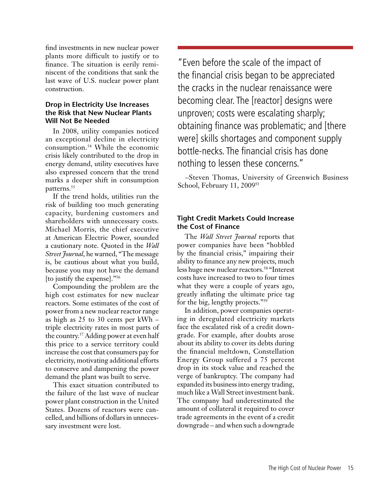find investments in new nuclear power plants more difficult to justify or to finance. The situation is eerily reminiscent of the conditions that sank the last wave of U.S. nuclear power plant construction.

#### **Drop in Electricity Use Increases the Risk that New Nuclear Plants Will Not Be Needed**

In 2008, utility companies noticed an exceptional decline in electricity consumption.54 While the economic crisis likely contributed to the drop in energy demand, utility executives have also expressed concern that the trend marks a deeper shift in consumption patterns.<sup>55</sup>

If the trend holds, utilities run the risk of building too much generating capacity, burdening customers and shareholders with unnecessary costs. Michael Morris, the chief executive at American Electric Power, sounded a cautionary note. Quoted in the *Wall Street Journal*, he warned, "The message is, be cautious about what you build, because you may not have the demand [to justify the expense]."56

Compounding the problem are the high cost estimates for new nuclear reactors. Some estimates of the cost of power from a new nuclear reactor range as high as 25 to 30 cents per kWh – triple electricity rates in most parts of the country.57 Adding power at even half this price to a service territory could increase the cost that consumers pay for electricity, motivating additional efforts to conserve and dampening the power demand the plant was built to serve.

This exact situation contributed to the failure of the last wave of nuclear power plant construction in the United States. Dozens of reactors were cancelled, and billions of dollars in unnecessary investment were lost.

"Even before the scale of the impact of the financial crisis began to be appreciated the cracks in the nuclear renaissance were becoming clear. The [reactor] designs were unproven; costs were escalating sharply; obtaining finance was problematic; and [there were] skills shortages and component supply bottle-necks. The financial crisis has done nothing to lessen these concerns."

–Steven Thomas, University of Greenwich Business School, February 11, 2009<sup>53</sup>

#### **Tight Credit Markets Could Increase the Cost of Finance**

The *Wall Street Journal* reports that power companies have been "hobbled by the financial crisis," impairing their ability to finance any new projects, much less huge new nuclear reactors.<sup>58</sup> "Interest costs have increased to two to four times what they were a couple of years ago, greatly inflating the ultimate price tag for the big, lengthy projects."<sup>59</sup>

In addition, power companies operating in deregulated electricity markets face the escalated risk of a credit downgrade. For example, after doubts arose about its ability to cover its debts during the financial meltdown, Constellation Energy Group suffered a 75 percent drop in its stock value and reached the verge of bankruptcy. The company had expanded its business into energy trading, much like a Wall Street investment bank. The company had underestimated the amount of collateral it required to cover trade agreements in the event of a credit downgrade – and when such a downgrade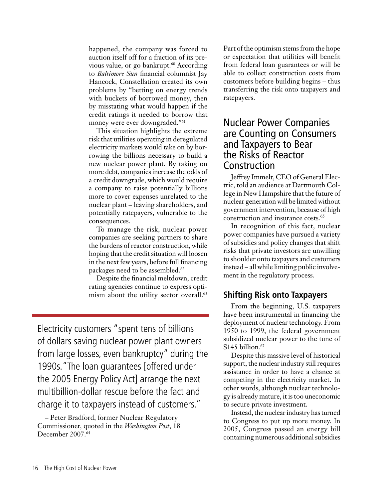happened, the company was forced to auction itself off for a fraction of its previous value, or go bankrupt.<sup>60</sup> According to *Baltimore Sun* financial columnist Jay Hancock, Constellation created its own problems by "betting on energy trends with buckets of borrowed money, then by misstating what would happen if the credit ratings it needed to borrow that money were ever downgraded."61

This situation highlights the extreme risk that utilities operating in deregulated electricity markets would take on by borrowing the billions necessary to build a new nuclear power plant. By taking on more debt, companies increase the odds of a credit downgrade, which would require a company to raise potentially billions more to cover expenses unrelated to the nuclear plant – leaving shareholders, and potentially ratepayers, vulnerable to the consequences.

To manage the risk, nuclear power companies are seeking partners to share the burdens of reactor construction, while hoping that the credit situation will loosen in the next few years, before full financing packages need to be assembled.<sup>62</sup>

Despite the financial meltdown, credit rating agencies continue to express optimism about the utility sector overall.<sup>63</sup>

Electricity customers "spent tens of billions of dollars saving nuclear power plant owners from large losses, even bankruptcy" during the 1990s."The loan guarantees [offered under the 2005 Energy Policy Act] arrange the next multibillion-dollar rescue before the fact and charge it to taxpayers instead of customers."

– Peter Bradford, former Nuclear Regulatory Commissioner, quoted in the *Washington Post*, 18 December 2007.<sup>64</sup>

Part of the optimism stems from the hope or expectation that utilities will benefit from federal loan guarantees or will be able to collect construction costs from customers before building begins – thus transferring the risk onto taxpayers and ratepayers.

## Nuclear Power Companies are Counting on Consumers and Taxpayers to Bear the Risks of Reactor Construction

Jeffrey Immelt, CEO of General Electric, told an audience at Dartmouth College in New Hampshire that the future of nuclear generation will be limited without government intervention, because of high construction and insurance costs.<sup>65</sup>

In recognition of this fact, nuclear power companies have pursued a variety of subsidies and policy changes that shift risks that private investors are unwilling to shoulder onto taxpayers and customers instead – all while limiting public involvement in the regulatory process.

#### **Shifting Risk onto Taxpayers**

From the beginning, U.S. taxpayers have been instrumental in financing the deployment of nuclear technology. From 1950 to 1999, the federal government subsidized nuclear power to the tune of  $$145$  billion.<sup>67</sup>

Despite this massive level of historical support, the nuclear industry still requires assistance in order to have a chance at competing in the electricity market. In other words, although nuclear technology is already mature, it is too uneconomic to secure private investment.

Instead, the nuclear industry has turned to Congress to put up more money. In 2005, Congress passed an energy bill containing numerous additional subsidies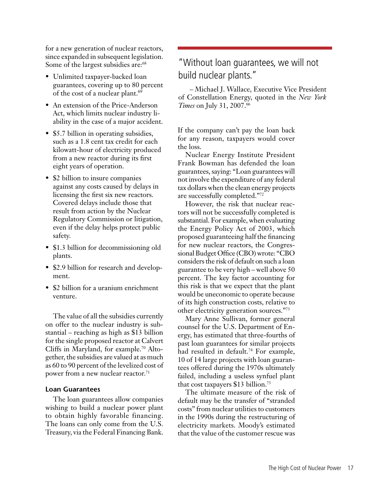for a new generation of nuclear reactors, since expanded in subsequent legislation. Some of the largest subsidies are:<sup>68</sup>

- Unlimited taxpayer-backed loan guarantees, covering up to 80 percent of the cost of a nuclear plant.<sup>69</sup>
- An extension of the Price-Anderson Act, which limits nuclear industry liability in the case of a major accident.
- \$5.7 billion in operating subsidies, such as a 1.8 cent tax credit for each kilowatt-hour of electricity produced from a new reactor during its first eight years of operation.
- \$2 billion to insure companies against any costs caused by delays in licensing the first six new reactors. Covered delays include those that result from action by the Nuclear Regulatory Commission or litigation, even if the delay helps protect public safety.
- \$1.3 billion for decommissioning old plants.
- \$2.9 billion for research and development.
- \$2 billion for a uranium enrichment venture.

The value of all the subsidies currently on offer to the nuclear industry is substantial – reaching as high as \$13 billion for the single proposed reactor at Calvert Cliffs in Maryland, for example.<sup>70</sup> Altogether, the subsidies are valued at as much as 60 to 90 percent of the levelized cost of power from a new nuclear reactor.<sup>71</sup>

#### **Loan Guarantees**

The loan guarantees allow companies wishing to build a nuclear power plant to obtain highly favorable financing. The loans can only come from the U.S. Treasury, via the Federal Financing Bank.

## "Without loan guarantees, we will not build nuclear plants."

– Michael J. Wallace, Executive Vice President of Constellation Energy, quoted in the *New York Times* on July 31, 2007.<sup>66</sup>

If the company can't pay the loan back for any reason, taxpayers would cover the loss.

Nuclear Energy Institute President Frank Bowman has defended the loan guarantees, saying: "Loan guarantees will not involve the expenditure of any federal tax dollars when the clean energy projects are successfully completed."<sup>72</sup>

However, the risk that nuclear reactors will not be successfully completed is substantial. For example, when evaluating the Energy Policy Act of 2003, which proposed guaranteeing half the financing for new nuclear reactors, the Congressional Budget Office (CBO) wrote: "CBO considers the risk of default on such a loan guarantee to be very high – well above 50 percent. The key factor accounting for this risk is that we expect that the plant would be uneconomic to operate because of its high construction costs, relative to other electricity generation sources."73

Mary Anne Sullivan, former general counsel for the U.S. Department of Energy, has estimated that three-fourths of past loan guarantees for similar projects had resulted in default.<sup>74</sup> For example, 10 of 14 large projects with loan guarantees offered during the 1970s ultimately failed, including a useless synfuel plant that cost taxpayers \$13 billion.75

The ultimate measure of the risk of default may be the transfer of "stranded costs" from nuclear utilities to customers in the 1990s during the restructuring of electricity markets. Moody's estimated that the value of the customer rescue was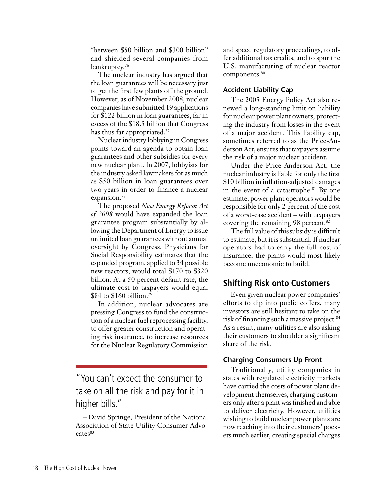"between \$50 billion and \$300 billion" and shielded several companies from bankruptcy.<sup>76</sup>

The nuclear industry has argued that the loan guarantees will be necessary just to get the first few plants off the ground. However, as of November 2008, nuclear companies have submitted 19 applications for \$122 billion in loan guarantees, far in excess of the \$18.5 billion that Congress has thus far appropriated.<sup>77</sup>

Nuclearindustry lobbying in Congress points toward an agenda to obtain loan guarantees and other subsidies for every new nuclear plant. In 2007, lobbyists for the industry asked lawmakers for as much as \$50 billion in loan guarantees over two years in order to finance a nuclear expansion.<sup>78</sup>

The proposed *New Energy Reform Act of 2008* would have expanded the loan guarantee program substantially by allowing the Department of Energy to issue unlimited loan guarantees without annual oversight by Congress. Physicians for Social Responsibility estimates that the expanded program, applied to 34 possible new reactors, would total \$170 to \$320 billion. At a 50 percent default rate, the ultimate cost to taxpayers would equal \$84 to \$160 billion.<sup>79</sup>

In addition, nuclear advocates are pressing Congress to fund the construction of a nuclear fuel reprocessing facility, to offer greater construction and operating risk insurance, to increase resources for the Nuclear Regulatory Commission

"You can't expect the consumer to take on all the risk and pay for it in higher bills."

– David Springe, President of the National Association of State Utility Consumer Advocates<sup>83</sup>

and speed regulatory proceedings, to offer additional tax credits, and to spur the U.S. manufacturing of nuclear reactor components.<sup>80</sup>

#### **Accident Liability Cap**

The 2005 Energy Policy Act also renewed a long-standing limit on liability for nuclear power plant owners, protecting the industry from losses in the event of a major accident. This liability cap, sometimes referred to as the Price-Anderson Act, ensures that taxpayers assume the risk of a major nuclear accident.

Under the Price-Anderson Act, the nuclear industry is liable for only the first \$10 billion in inflation-adjusted damages in the event of a catastrophe.<sup>81</sup> By one estimate, power plant operators would be responsible for only 2 percent of the cost of a worst-case accident – with taxpayers covering the remaining 98 percent.<sup>82</sup>

The full value of this subsidy is difficult to estimate, but it issubstantial. If nuclear operators had to carry the full cost of insurance, the plants would most likely become uneconomic to build.

#### **Shifting Risk onto Customers**

Even given nuclear power companies' efforts to dip into public coffers, many investors are still hesitant to take on the risk of financing such a massive project.<sup>84</sup> As a result, many utilities are also asking their customers to shoulder a significant share of the risk.

#### **Charging Consumers Up Front**

Traditionally, utility companies in states with regulated electricity markets have carried the costs of power plant development themselves, charging customers only after a plant was finished and able to deliver electricity. However, utilities wishing to build nuclear power plants are now reaching into their customers' pockets much earlier, creating special charges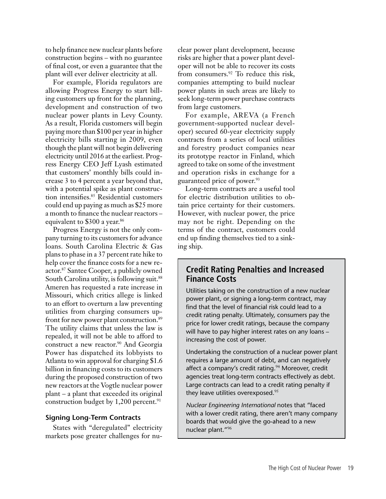to help finance new nuclear plants before construction begins – with no guarantee of final cost, or even a guarantee that the plant will ever deliver electricity at all.

For example, Florida regulators are allowing Progress Energy to start billing customers up front for the planning, development and construction of two nuclear power plants in Levy County. As a result, Florida customers will begin paying more than \$100 per year in higher electricity bills starting in 2009, even though the plant will not begin delivering electricity until 2016 at the earliest. Progress Energy CEO Jeff Lyash estimated that customers' monthly bills could increase 3 to 4 percent a year beyond that, with a potential spike as plant construction intensifies.<sup>85</sup> Residential customers could end up paying as much as \$25 more a month to finance the nuclear reactors – equivalent to \$300 a year.<sup>86</sup>

Progress Energy is not the only company turning to its customers for advance loans. South Carolina Electric & Gas plans to phase in a 37 percent rate hike to help cover the finance costs for a new reactor.<sup>87</sup> Santee Cooper, a publicly owned South Carolina utility, is following suit.<sup>88</sup> Ameren has requested a rate increase in Missouri, which critics allege is linked to an effort to overturn a law preventing utilities from charging consumers upfront for new power plant construction.<sup>89</sup> The utility claims that unless the law is repealed, it will not be able to afford to construct a new reactor.<sup>90</sup> And Georgia Power has dispatched its lobbyists to Atlanta to win approval for charging \$1.6 billion in financing costs to its customers during the proposed construction of two new reactors at the Vogtle nuclear power plant – a plant that exceeded its original construction budget by  $1,200$  percent.<sup>91</sup>

#### **Signing Long-Term Contracts**

States with "deregulated" electricity markets pose greater challenges for nuclear power plant development, because risks are higher that a power plant developer will not be able to recover its costs from consumers.<sup>92</sup> To reduce this risk, companies attempting to build nuclear power plants in such areas are likely to seek long-term power purchase contracts from large customers.

For example, AREVA (a French government-supported nuclear developer) secured 60-year electricity supply contracts from a series of local utilities and forestry product companies near its prototype reactor in Finland, which agreed to take on some of the investment and operation risks in exchange for a guaranteed price of power.<sup>93</sup>

Long-term contracts are a useful tool for electric distribution utilities to obtain price certainty for their customers. However, with nuclear power, the price may not be right. Depending on the terms of the contract, customers could end up finding themselves tied to a sinking ship.

#### **Credit Rating Penalties and Increased Finance Costs**

Utilities taking on the construction of a new nuclear power plant, or signing a long-term contract, may find that the level of financial risk could lead to a credit rating penalty. Ultimately, consumers pay the price for lower credit ratings, because the company will have to pay higher interest rates on any loans – increasing the cost of power.

Undertaking the construction of a nuclear power plant requires a large amount of debt, and can negatively affect a company's credit rating.<sup>94</sup> Moreover, credit agencies treat long-term contracts effectively as debt. Large contracts can lead to a credit rating penalty if they leave utilities overexposed.<sup>95</sup>

*Nuclear Engineering International* notes that "faced with a lower credit rating, there aren't many company boards that would give the go-ahead to a new nuclear plant."96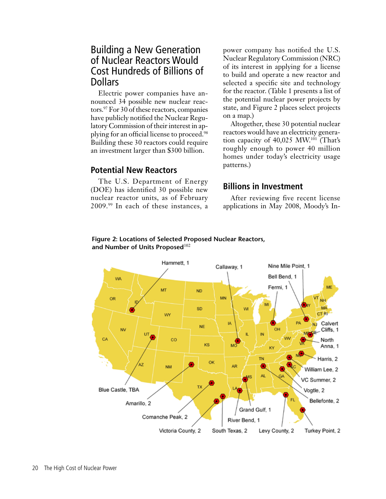## Building a New Generation of Nuclear Reactors Would Cost Hundreds of Billions of **Dollars**

Electric power companies have announced 34 possible new nuclear reactors.<sup>97</sup> For 30 of these reactors, companies have publicly notified the Nuclear Regulatory Commission of their interest in applying for an official license to proceed.<sup>98</sup> Building these 30 reactors could require an investment larger than \$300 billion.

#### **Potential New Reactors**

The U.S. Department of Energy (DOE) has identified 30 possible new nuclear reactor units, as of February 2009.99 In each of these instances, a

power company has notified the U.S. Nuclear Regulatory Commission (NRC) of its interest in applying for a license to build and operate a new reactor and selected a specific site and technology for the reactor. (Table 1 presents a list of the potential nuclear power projects by state, and Figure 2 places select projects on a map.)

Altogether, these 30 potential nuclear reactors would have an electricity generation capacity of 40,025 MW.<sup>101</sup> (That's roughly enough to power 40 million homes under today's electricity usage patterns.)

### **Billions in Investment**

After reviewing five recent license applications in May 2008, Moody's In-

#### **Figure 2: Locations of Selected Proposed Nuclear Reactors, and Number of Units Proposed**<sup>102</sup>

![](_page_20_Figure_9.jpeg)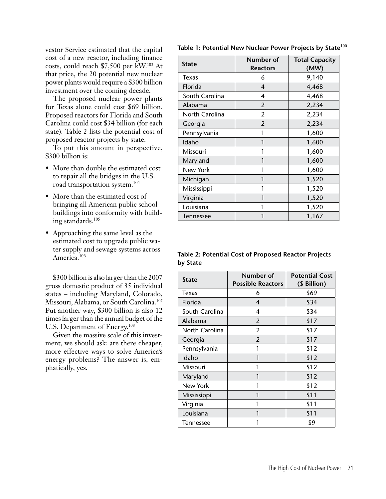vestor Service estimated that the capital cost of a new reactor, including finance costs, could reach \$7,500 per kW.103 At that price, the 20 potential new nuclear power plants would require a \$300 billion investment over the coming decade.

The proposed nuclear power plants for Texas alone could cost \$69 billion. Proposed reactors for Florida and South Carolina could cost \$34 billion (for each state). Table 2 lists the potential cost of proposed reactor projects by state.

To put this amount in perspective, \$300 billion is:

- More than double the estimated cost to repair all the bridges in the U.S. road transportation system.<sup>104</sup>
- More than the estimated cost of bringing all American public school buildings into conformity with building standards.<sup>105</sup>
- Approaching the same level as the estimated cost to upgrade public water supply and sewage systems across America.<sup>106</sup>

\$300 billion is also larger than the 2007 gross domestic product of 35 individual states – including Maryland, Colorado, Missouri, Alabama, or South Carolina.<sup>107</sup> Put another way, \$300 billion is also 12 times larger than the annual budget of the U.S. Department of Energy.<sup>108</sup>

Given the massive scale of this investment, we should ask: are there cheaper, more effective ways to solve America's energy problems? The answer is, emphatically, yes.

| <b>State</b>     | Number of<br><b>Reactors</b> | <b>Total Capacity</b><br>(MW) |
|------------------|------------------------------|-------------------------------|
| Texas            | 6                            | 9,140                         |
| Florida          | 4                            | 4,468                         |
| South Carolina   | 4                            | 4,468                         |
| Alabama          | 2                            | 2,234                         |
| North Carolina   | 2                            | 2,234                         |
| Georgia          | $\overline{2}$               | 2,234                         |
| Pennsylvania     |                              | 1,600                         |
| Idaho            |                              | 1,600                         |
| Missouri         | 1                            | 1,600                         |
| Maryland         | 1                            | 1,600                         |
| New York         | 1                            | 1,600                         |
| Michigan         | 1                            | 1,520                         |
| Mississippi      | 1                            | 1,520                         |
| Virginia         | 1                            | 1,520                         |
| Louisiana        |                              | 1,520                         |
| <b>Tennessee</b> |                              | 1,167                         |

#### **Table 1: Potential New Nuclear Power Projects by State**<sup>100</sup>

**Table 2: Potential Cost of Proposed Reactor Projects by State**

| <b>State</b>     | Number of<br><b>Possible Reactors</b> | <b>Potential Cost</b><br>(\$ Billion) |
|------------------|---------------------------------------|---------------------------------------|
| Texas            | 6                                     | \$69                                  |
| Florida          | 4                                     | \$34                                  |
| South Carolina   | 4                                     | \$34                                  |
| Alabama          | $\overline{2}$                        | \$17                                  |
| North Carolina   | 2                                     | \$17                                  |
| Georgia          | $\overline{2}$                        | \$17                                  |
| Pennsylvania     | 1                                     | \$12                                  |
| Idaho            |                                       | \$12                                  |
| Missouri         |                                       | \$12                                  |
| Maryland         | 1                                     | \$12                                  |
| New York         |                                       | \$12                                  |
| Mississippi      | 1                                     | \$11                                  |
| Virginia         |                                       | \$11                                  |
| Louisiana        |                                       | \$11                                  |
| <b>Tennessee</b> |                                       | \$9                                   |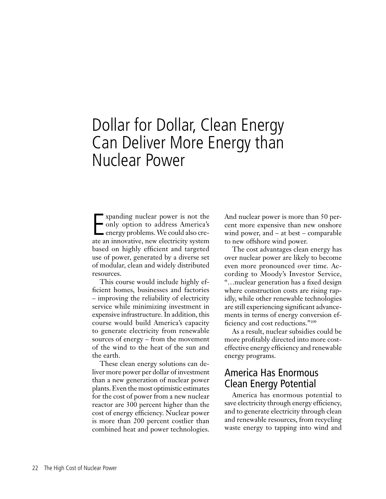## Dollar for Dollar, Clean Energy Can Deliver More Energy than Nuclear Power

Expanding nuclear power is not the<br>
only option to address America's<br>
energy problems. We could also cre-<br>
ate an innovative, new electricity system xpanding nuclear power is not the only option to address America's ate an innovative, new electricity system based on highly efficient and targeted use of power, generated by a diverse set of modular, clean and widely distributed resources.

This course would include highly efficient homes, businesses and factories – improving the reliability of electricity service while minimizing investment in expensive infrastructure. In addition, this course would build America's capacity to generate electricity from renewable sources of energy – from the movement of the wind to the heat of the sun and the earth.

These clean energy solutions can deliver more power per dollar of investment than a new generation of nuclear power plants.Even the most optimistic estimates for the cost of power from a new nuclear reactor are 300 percent higher than the cost of energy efficiency. Nuclear power is more than 200 percent costlier than combined heat and power technologies. And nuclear power is more than 50 percent more expensive than new onshore wind power, and – at best – comparable to new offshore wind power.

The cost advantages clean energy has over nuclear power are likely to become even more pronounced over time. According to Moody's Investor Service, "…nuclear generation has a fixed design where construction costs are rising rapidly, while other renewable technologies are still experiencing significant advancements in terms of energy conversion efficiency and cost reductions."<sup>109</sup>

As a result, nuclear subsidies could be more profitably directed into more costeffective energy efficiency and renewable energy programs.

### America Has Enormous Clean Energy Potential

America has enormous potential to save electricity through energy efficiency, and to generate electricity through clean and renewable resources, from recycling waste energy to tapping into wind and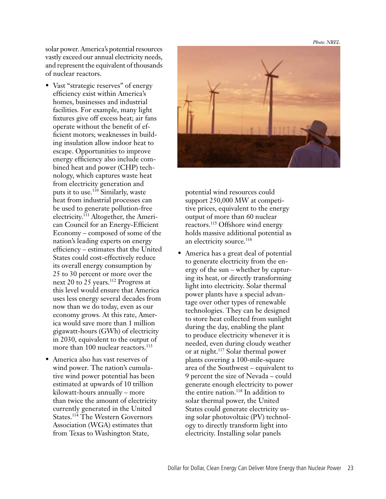*Photo: NREL*

solar power. America's potential resources vastly exceed our annual electricity needs, and represent the equivalent of thousands of nuclear reactors.

- Vast "strategic reserves" of energy efficiency exist within America's homes, businesses and industrial facilities. For example, many light fixtures give off excess heat; air fans operate without the benefit of efficient motors; weaknesses in building insulation allow indoor heat to escape. Opportunities to improve energy efficiency also include combined heat and power (CHP) technology, which captures waste heat from electricity generation and puts it to use.<sup>110</sup> Similarly, waste heat from industrial processes can be used to generate pollution-free electricity.111 Altogether, the American Council for an Energy-Efficient Economy – composed of some of the nation's leading experts on energy efficiency – estimates that the United States could cost-effectively reduce its overall energy consumption by 25 to 30 percent or more over the next 20 to 25 years.<sup>112</sup> Progress at this level would ensure that America uses less energy several decades from now than we do today, even as our economy grows. At this rate, America would save more than 1 million gigawatt-hours (GWh) of electricity in 2030, equivalent to the output of more than 100 nuclear reactors.<sup>113</sup>
- America also has vast reserves of wind power. The nation's cumulative wind power potential has been estimated at upwards of 10 trillion kilowatt-hours annually – more than twice the amount of electricity currently generated in the United States.<sup>114</sup> The Western Governors Association (WGA) estimates that from Texas to Washington State,

![](_page_23_Picture_4.jpeg)

potential wind resources could support 250,000 MW at competitive prices, equivalent to the energy output of more than 60 nuclear reactors.<sup>115</sup> Offshore wind energy holds massive additional potential as an electricity source.<sup>116</sup>

• America has a great deal of potential to generate electricity from the energy of the sun – whether by capturing its heat, or directly transforming light into electricity. Solar thermal power plants have a special advantage over other types of renewable technologies. They can be designed to store heat collected from sunlight during the day, enabling the plant to produce electricity whenever it is needed, even during cloudy weather or at night.<sup>117</sup> Solar thermal power plants covering a 100-mile-square area of the Southwest – equivalent to 9 percent the size of Nevada – could generate enough electricity to power the entire nation.<sup>118</sup> In addition to solar thermal power, the United States could generate electricity using solar photovoltaic (PV) technology to directly transform light into electricity. Installing solar panels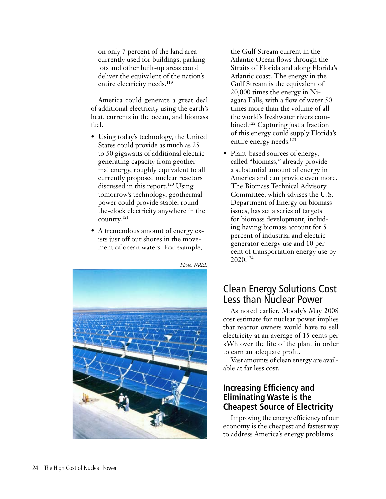on only 7 percent of the land area currently used for buildings, parking lots and other built-up areas could deliver the equivalent of the nation's entire electricity needs.<sup>119</sup>

America could generate a great deal of additional electricity using the earth's heat, currents in the ocean, and biomass fuel.

- Using today's technology, the United States could provide as much as 25 to 50 gigawatts of additional electric generating capacity from geothermal energy, roughly equivalent to all currently proposed nuclear reactors discussed in this report.<sup>120</sup> Using tomorrow's technology, geothermal power could provide stable, roundthe-clock electricity anywhere in the country.<sup>121</sup>
- A tremendous amount of energy exists just off our shores in the movement of ocean waters. For example,

![](_page_24_Picture_4.jpeg)

the Gulf Stream current in the Atlantic Ocean flows through the Straits of Florida and along Florida's Atlantic coast. The energy in the Gulf Stream is the equivalent of 20,000 times the energy in Niagara Falls, with a flow of water 50 times more than the volume of all the world's freshwater rivers combined.<sup>122</sup> Capturing just a fraction of this energy could supply Florida's entire energy needs.<sup>123</sup>

• Plant-based sources of energy, called "biomass," already provide a substantial amount of energy in America and can provide even more. The Biomass Technical Advisory Committee, which advises the U.S. Department of Energy on biomass issues, has set a series of targets for biomass development, including having biomass account for 5 percent of industrial and electric generator energy use and 10 percent of transportation energy use by 2020.<sup>124</sup>

## Clean Energy Solutions Cost Less than Nuclear Power

As noted earlier, Moody's May 2008 cost estimate for nuclear power implies that reactor owners would have to sell electricity at an average of 15 cents per kWh over the life of the plant in order to earn an adequate profit.

Vast amounts of clean energy are available at far less cost.

### **Increasing Efficiency and Eliminating Waste is the Cheapest Source of Electricity**

Improving the energy efficiency of our economy is the cheapest and fastest way to address America's energy problems.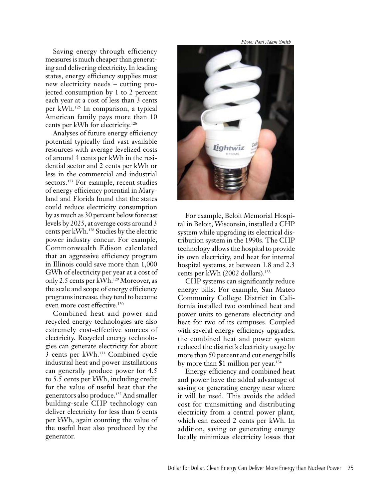Saving energy through efficiency measures is much cheaper than generating and delivering electricity.In leading states, energy efficiency supplies most new electricity needs – cutting projected consumption by 1 to 2 percent each year at a cost of less than 3 cents per kWh.<sup>125</sup> In comparison, a typical American family pays more than 10 cents per kWh for electricity.<sup>126</sup>

Analyses of future energy efficiency potential typically find vast available resources with average levelized costs of around 4 cents per kWh in the residential sector and 2 cents per kWh or less in the commercial and industrial sectors.<sup>127</sup> For example, recent studies of energy efficiency potential in Maryland and Florida found that the states could reduce electricity consumption by as much as 30 percent below forecast levels by 2025, at average costs around 3 cents per kWh.128 Studies by the electric power industry concur. For example, Commonwealth Edison calculated that an aggressive efficiency program in Illinois could save more than 1,000 GWh of electricity per year at a cost of only 2.5 cents per kWh.<sup>129</sup> Moreover, as the scale and scope of energy efficiency programs increase, they tend to become even more cost effective.<sup>130</sup>

Combined heat and power and recycled energy technologies are also extremely cost-effective sources of electricity. Recycled energy technologies can generate electricity for about 3 cents per kWh.<sup>131</sup> Combined cycle industrial heat and power installations can generally produce power for 4.5 to 5.5 cents per kWh, including credit for the value of useful heat that the generators also produce.132 And smaller building-scale CHP technology can deliver electricity for less than 6 cents per kWh, again counting the value of the useful heat also produced by the generator.

*Photo: Paul Adam Smith*

![](_page_25_Picture_4.jpeg)

For example, Beloit Memorial Hospital in Beloit, Wisconsin, installed a CHP system while upgrading its electrical distribution system in the 1990s. The CHP technology allows the hospital to provide its own electricity, and heat for internal hospital systems, at between 1.8 and 2.3 cents per kWh (2002 dollars).<sup>133</sup>

CHP systems can significantly reduce energy bills. For example, San Mateo Community College District in California installed two combined heat and power units to generate electricity and heat for two of its campuses. Coupled with several energy efficiency upgrades, the combined heat and power system reduced the district's electricity usage by more than 50 percent and cut energy bills by more than \$1 million per year.<sup>134</sup>

Energy efficiency and combined heat and power have the added advantage of saving or generating energy near where it will be used. This avoids the added cost for transmitting and distributing electricity from a central power plant, which can exceed 2 cents per kWh. In addition, saving or generating energy locally minimizes electricity losses that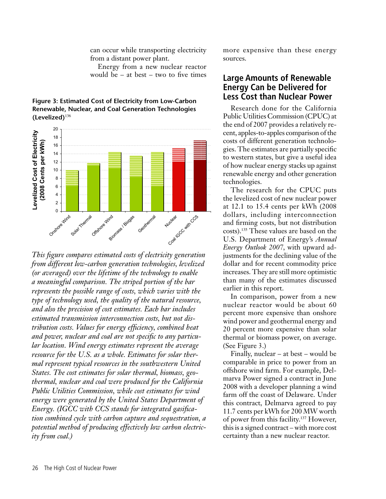can occur while transporting electricity from a distant power plant.

Energy from a new nuclear reactor would be – at best – two to five times

![](_page_26_Figure_2.jpeg)

**Figure 3: Estimated Cost of Electricity from Low-Carbon Renewable, Nuclear, and Coal Generation Technologies (Levelized)**<sup>136</sup>

*This figure compares estimated costs of electricity generation from different low-carbon generation technologies, levelized (or averaged) over the lifetime of the technology to enable a meaningful comparison. The striped portion of the bar represents the possible range of costs, which varies with the type of technology used, the quality of the natural resource, and also the precision of cost estimates. Each bar includes estimated transmission interconnection costs, but not distribution costs. Values for energy efficiency, combined heat and power, nuclear and coal are not specific to any particular location. Wind energy estimates represent the average resource for the U.S. as a whole. Estimates for solar thermal represent typical resources in the southwestern United States. The cost estimates for solar thermal, biomass, geothermal, nuclear and coal were produced for the California Public Utilities Commission, while cost estimates for wind energy were generated by the United States Department of Energy. (IGCC with CCS stands for integrated gasification combined cycle with carbon capture and sequestration, a potential method of producing effectively low carbon electricity from coal.)*

more expensive than these energy sources.

#### **Large Amounts of Renewable Energy Can be Delivered for Less Cost than Nuclear Power**

Research done for the California Public Utilities Commission (CPUC) at the end of 2007 provides a relatively recent, apples-to-apples comparison of the costs of different generation technologies. The estimates are partially specific to western states, but give a useful idea of how nuclear energy stacks up against renewable energy and other generation technologies.

The research for the CPUC puts the levelized cost of new nuclear power at 12.1 to 15.4 cents per kWh (2008 dollars, including interconnection and firming costs, but not distribution costs).135 These values are based on the U.S. Department of Energy's *Annual Energy Outlook 2007*, with upward adjustments for the declining value of the dollar and for recent commodity price increases. They are still more optimistic than many of the estimates discussed earlier in this report.

In comparison, power from a new nuclear reactor would be about 60 percent more expensive than onshore wind power and geothermal energy and 20 percent more expensive than solar thermal or biomass power, on average. (See Figure 3.)

Finally, nuclear – at best – would be comparable in price to power from an offshore wind farm. For example, Delmarva Power signed a contract in June 2008 with a developer planning a wind farm off the coast of Delaware. Under this contract, Delmarva agreed to pay 11.7 cents per kWh for 200 MW worth of power from this facility.137 However, this is a signed contract – with more cost certainty than a new nuclear reactor.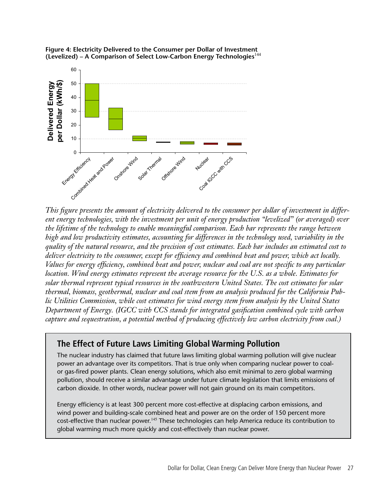![](_page_27_Figure_0.jpeg)

![](_page_27_Figure_1.jpeg)

*This figure presents the amount of electricity delivered to the consumer per dollar of investment in different energy technologies, with the investment per unit of energy production "levelized" (or averaged) over the lifetime of the technology to enable meaningful comparison. Each bar represents the range between high and low productivity estimates, accounting for differences in the technology used, variability in the quality of the natural resource, and the precision of cost estimates. Each bar includes an estimated cost to deliver electricity to the consumer, except for efficiency and combined heat and power, which act locally. Values for energy efficiency, combined heat and power, nuclear and coal are not specific to any particular location. Wind energy estimates represent the average resource for the U.S. as a whole. Estimates for solar thermal represent typical resources in the southwestern United States. The cost estimates for solar thermal, biomass, geothermal, nuclear and coal stem from an analysis produced for the California Public Utilities Commission, while cost estimates for wind energy stem from analysis by the United States Department of Energy. (IGCC with CCS stands for integrated gasification combined cycle with carbon capture and sequestration, a potential method of producing effectively low carbon electricity from coal.)*

### **The Effect of Future Laws Limiting Global Warming Pollution**

The nuclear industry has claimed that future laws limiting global warming pollution will give nuclear power an advantage over its competitors. That is true only when comparing nuclear power to coalor gas-fired power plants. Clean energy solutions, which also emit minimal to zero global warming pollution, should receive a similar advantage under future climate legislation that limits emissions of carbon dioxide. In other words, nuclear power will not gain ground on its main competitors.

Energy efficiency is at least 300 percent more cost-effective at displacing carbon emissions, and wind power and building-scale combined heat and power are on the order of 150 percent more cost-effective than nuclear power.<sup>145</sup> These technologies can help America reduce its contribution to global warming much more quickly and cost-effectively than nuclear power.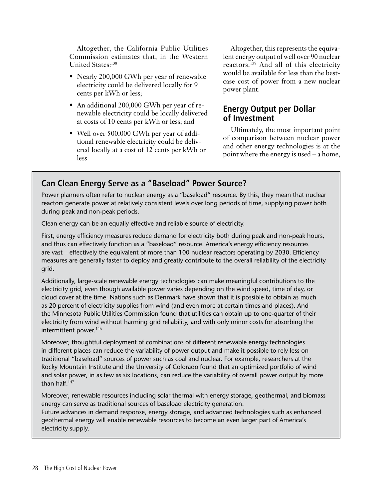Altogether, the California Public Utilities Commission estimates that, in the Western United States:<sup>138</sup>

- Nearly 200,000 GWh per year of renewable electricity could be delivered locally for 9 cents per kWh or less;
- An additional 200,000 GWh per year of renewable electricity could be locally delivered at costs of 10 cents per kWh or less; and
- Well over 500,000 GWh per year of additional renewable electricity could be delivered locally at a cost of 12 cents per kWh or less.

Altogether, this represents the equivalent energy output of well over 90 nuclear reactors.139 And all of this electricity would be available for less than the bestcase cost of power from a new nuclear power plant.

### **Energy Output per Dollar of Investment**

Ultimately, the most important point of comparison between nuclear power and other energy technologies is at the point where the energy is used – a home,

### **Can Clean Energy Serve as a "Baseload" Power Source?**

Power planners often refer to nuclear energy as a "baseload" resource. By this, they mean that nuclear reactors generate power at relatively consistent levels over long periods of time, supplying power both during peak and non-peak periods.

Clean energy can be an equally effective and reliable source of electricity.

First, energy efficiency measures reduce demand for electricity both during peak and non-peak hours, and thus can effectively function as a "baseload" resource. America's energy efficiency resources are vast – effectively the equivalent of more than 100 nuclear reactors operating by 2030. Efficiency measures are generally faster to deploy and greatly contribute to the overall reliability of the electricity grid.

Additionally, large-scale renewable energy technologies can make meaningful contributions to the electricity grid, even though available power varies depending on the wind speed, time of day, or cloud cover at the time. Nations such as Denmark have shown that it is possible to obtain as much as 20 percent of electricity supplies from wind (and even more at certain times and places). And the Minnesota Public Utilities Commission found that utilities can obtain up to one-quarter of their electricity from wind without harming grid reliability, and with only minor costs for absorbing the intermittent power.<sup>146</sup>

Moreover, thoughtful deployment of combinations of different renewable energy technologies in different places can reduce the variability of power output and make it possible to rely less on traditional "baseload" sources of power such as coal and nuclear. For example, researchers at the Rocky Mountain Institute and the University of Colorado found that an optimized portfolio of wind and solar power, in as few as six locations, can reduce the variability of overall power output by more than half.<sup>147</sup>

Moreover, renewable resources including solar thermal with energy storage, geothermal, and biomass energy can serve as traditional sources of baseload electricity generation.

Future advances in demand response, energy storage, and advanced technologies such as enhanced geothermal energy will enable renewable resources to become an even larger part of America's electricity supply.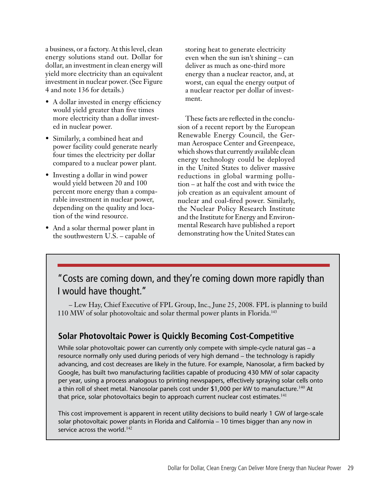a business, or a factory. At this level, clean energy solutions stand out. Dollar for dollar, an investment in clean energy will yield more electricity than an equivalent investment in nuclear power. (See Figure 4 and note 136 for details.)

- A dollar invested in energy efficiency would yield greater than five times more electricity than a dollar invested in nuclear power.
- Similarly, a combined heat and power facility could generate nearly four times the electricity per dollar compared to a nuclear power plant.
- Investing a dollar in wind power would yield between 20 and 100 percent more energy than a comparable investment in nuclear power, depending on the quality and location of the wind resource.
- And a solar thermal power plant in the southwestern U.S. – capable of

storing heat to generate electricity even when the sun isn't shining – can deliver as much as one-third more energy than a nuclear reactor, and, at worst, can equal the energy output of a nuclear reactor per dollar of investment.

These facts are reflected in the conclusion of a recent report by the European Renewable Energy Council, the German Aerospace Center and Greenpeace, which shows that currently available clean energy technology could be deployed in the United States to deliver massive reductions in global warming pollution – at half the cost and with twice the job creation as an equivalent amount of nuclear and coal-fired power. Similarly, the Nuclear Policy Research Institute and the Institute for Energy and Environmental Research have published a report demonstrating how the United States can

## "Costs are coming down, and they're coming down more rapidly than I would have thought."

– Lew Hay, Chief Executive of FPL Group, Inc., June 25, 2008. FPL is planning to build 110 MW of solar photovoltaic and solar thermal power plants in Florida.<sup>143</sup>

## **Solar Photovoltaic Power is Quickly Becoming Cost-Competitive**

While solar photovoltaic power can currently only compete with simple-cycle natural gas - a resource normally only used during periods of very high demand – the technology is rapidly advancing, and cost decreases are likely in the future. For example, Nanosolar, a firm backed by Google, has built two manufacturing facilities capable of producing 430 MW of solar capacity per year, using a process analogous to printing newspapers, effectively spraying solar cells onto a thin roll of sheet metal. Nanosolar panels cost under \$1,000 per kW to manufacture.<sup>140</sup> At that price, solar photovoltaics begin to approach current nuclear cost estimates.<sup>141</sup>

This cost improvement is apparent in recent utility decisions to build nearly 1 GW of large-scale solar photovoltaic power plants in Florida and California – 10 times bigger than any now in service across the world. $142$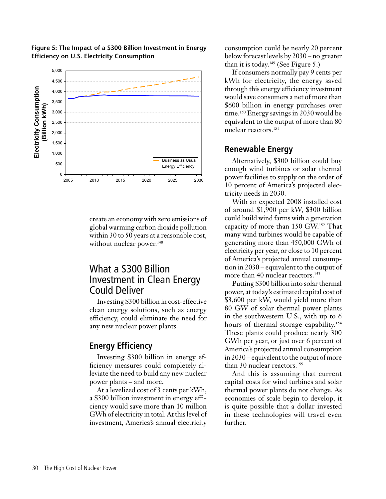![](_page_30_Figure_0.jpeg)

**Figure 5: The Impact of a \$300 Billion Investment in Energy** 

**Efficiency on U.S. Electricity Consumption**

create an economy with zero emissions of global warming carbon dioxide pollution within 30 to 50 years at a reasonable cost, without nuclear power.<sup>148</sup>

## What a \$300 Billion Investment in Clean Energy Could Deliver

Investing \$300 billion in cost-effective clean energy solutions, such as energy efficiency, could eliminate the need for any new nuclear power plants.

#### **Energy Efficiency**

Investing \$300 billion in energy efficiency measures could completely alleviate the need to build any new nuclear power plants – and more.

At a levelized cost of 3 cents per kWh, a \$300 billion investment in energy efficiency would save more than 10 million GWh of electricity in total. At this level of investment, America's annual electricity

consumption could be nearly 20 percent below forecast levels by 2030 – no greater than it is today.<sup>149</sup> (See Figure 5.)

If consumers normally pay 9 cents per kWh for electricity, the energy saved through this energy efficiency investment would save consumers a net of more than \$600 billion in energy purchases over time.<sup>150</sup> Energy savings in 2030 would be equivalent to the output of more than 80 nuclear reactors.<sup>151</sup>

#### **Renewable Energy**

Alternatively, \$300 billion could buy enough wind turbines or solar thermal power facilities to supply on the order of 10 percent of America's projected electricity needs in 2030.

With an expected 2008 installed cost of around \$1,900 per kW, \$300 billion could build wind farms with a generation capacity of more than 150 GW.152 That many wind turbines would be capable of generating more than 450,000 GWh of electricity per year, or close to 10 percent of America's projected annual consumption in 2030 – equivalent to the output of more than 40 nuclear reactors.<sup>153</sup>

Putting \$300 billion into solar thermal power, at today's estimated capital cost of \$3,600 per kW, would yield more than 80 GW of solar thermal power plants in the southwestern U.S., with up to 6 hours of thermal storage capability.<sup>154</sup> These plants could produce nearly 300 GWh per year, or just over 6 percent of America's projected annual consumption in 2030 – equivalent to the output of more than 30 nuclear reactors.<sup>155</sup>

And this is assuming that current capital costs for wind turbines and solar thermal power plants do not change. As economies of scale begin to develop, it is quite possible that a dollar invested in these technologies will travel even further.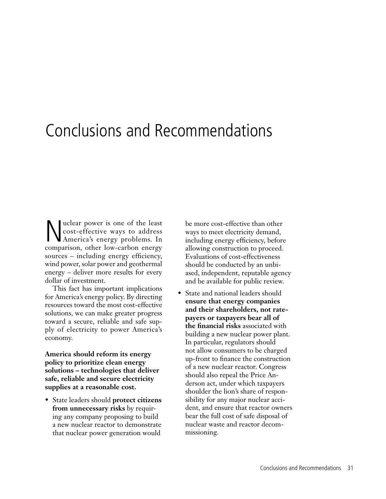## Conclusions and Recommendations

Nuclear power is one of the least<br>cost-effective ways to address<br>America's energy problems. In cost-effective ways to address America's energy problems. In comparison, other low-carbon energy sources – including energy efficiency, wind power, solar power and geothermal energy – deliver more results for every dollar of investment.

This fact has important implications for America's energy policy. By directing resources toward the most cost-effective solutions, we can make greater progress toward a secure, reliable and safe supply of electricity to power America's economy.

**America should reform its energy policy to prioritize clean energy solutions – technologies that deliver safe, reliable and secure electricity supplies at a reasonable cost.** 

• State leaders should **protect citizens from unnecessary risks** by requiring any company proposing to build a new nuclear reactor to demonstrate that nuclear power generation would

be more cost-effective than other ways to meet electricity demand, including energy efficiency, before allowing construction to proceed. Evaluations of cost-effectiveness should be conducted by an unbiased, independent, reputable agency and be available for public review.

• State and national leaders should **ensure that energy companies and their shareholders, not ratepayers or taxpayers bear all of the financial risks** associated with building a new nuclear power plant. In particular, regulators should not allow consumers to be charged up-front to finance the construction of a new nuclear reactor. Congress should also repeal the Price Anderson act, under which taxpayers shoulder the lion's share of responsibility for any major nuclear accident, and ensure that reactor owners bear the full cost of safe disposal of nuclear waste and reactor decommissioning.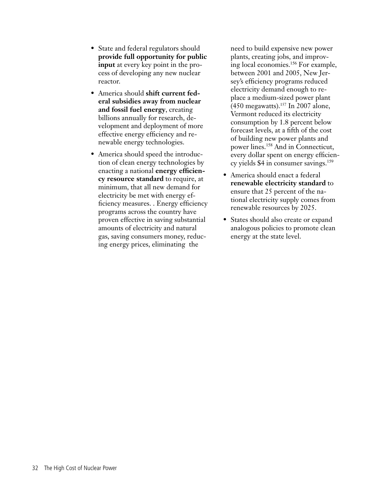- State and federal regulators should **provide full opportunity for public input** at every key point in the process of developing any new nuclear reactor.
- • America should **shift current federal subsidies away from nuclear and fossil fuel energy**, creating billions annually for research, development and deployment of more effective energy efficiency and renewable energy technologies.
- America should speed the introduction of clean energy technologies by enacting a national **energy efficiency resource standard** to require, at minimum, that all new demand for electricity be met with energy efficiency measures. . Energy efficiency programs across the country have proven effective in saving substantial amounts of electricity and natural gas, saving consumers money, reducing energy prices, eliminating the

need to build expensive new power plants, creating jobs, and improving local economies.<sup>156</sup> For example, between 2001 and 2005, New Jersey's efficiency programs reduced electricity demand enough to replace a medium-sized power plant  $(450$  megawatts).<sup>157</sup> In 2007 alone, Vermont reduced its electricity consumption by 1.8 percent below forecast levels, at a fifth of the cost of building new power plants and power lines.<sup>158</sup> And in Connecticut, every dollar spent on energy efficiency yields \$4 in consumer savings.<sup>159</sup>

- America should enact a federal **renewable electricity standard** to ensure that 25 percent of the national electricity supply comes from renewable resources by 2025.
- States should also create or expand analogous policies to promote clean energy at the state level.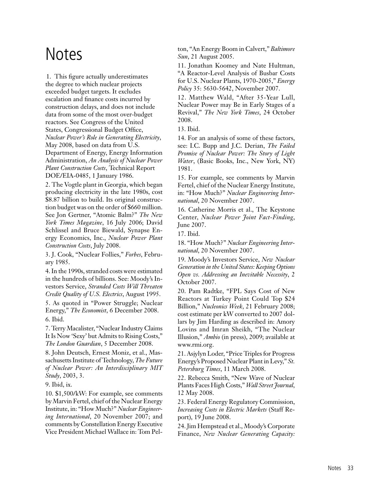## **Notes**

1. This figure actually underestimates the degree to which nuclear projects exceeded budget targets. It excludes escalation and finance costs incurred by construction delays, and does not include data from some of the most over-budget reactors. See Congress of the United States, Congressional Budget Office, *Nuclear Power's Role in Generating Electricity*, May 2008, based on data from U.S. Department of Energy, Energy Information Administration, *An Analysis of Nuclear Power Plant Construction Costs*, Technical Report DOE/EIA-0485, 1 January 1986.

2. The Vogtle plant in Georgia, which began producing electricity in the late 1980s, cost \$8.87 billion to build. Its original construction budget was on the order of \$660 million. See Jon Gertner, "Atomic Balm?" *The New York Times Magazine*, 16 July 2006; David Schlissel and Bruce Biewald, Synapse Energy Economics, Inc., *Nuclear Power Plant Construction Costs*, July 2008.

3. J. Cook, "Nuclear Follies," *Forbes*, February 1985.

4. In the 1990s, stranded costs were estimated in the hundreds of billions. See: Moody's Investors Service, *Stranded Costs Will Threaten Credit Quality of U.S. Electrics*, August 1995.

5. As quoted in "Power Struggle; Nuclear Energy," *The Economist*, 6 December 2008. 6. Ibid.

7. Terry Macalister, "Nuclear Industry Claims It Is Now 'Sexy' but Admits to Rising Costs," *The London Guardian*, 5 December 2008.

8. John Deutsch, Ernest Moniz, et al., Massachusetts Institute of Technology, *The Future of Nuclear Power: An Interdisciplinary MIT Study*, 2003, 3.

9. Ibid, ix.

10. \$1,500/kW: For example, see comments by Marvin Fertel, chief of the Nuclear Energy Institute, in: "How Much?" *Nuclear Engineering International*, 20 November 2007; and comments by Constellation Energy Executive Vice President Michael Wallace in: Tom Pelton, "An Energy Boom in Calvert," *Baltimore Sun*, 21 August 2005.

11. Jonathan Koomey and Nate Hultman, "A Reactor-Level Analysis of Busbar Costs for U.S. Nuclear Plants, 1970-2005," *Energy Policy* 35: 5630-5642, November 2007.

12. Matthew Wald, "After 35-Year Lull, Nuclear Power may Be in Early Stages of a Revival," *The New York Times*, 24 October 2008.

13. Ibid.

14. For an analysis of some of these factors, see: I.C. Bupp and J.C. Derian, *The Failed Promise of Nuclear Power: The Story of Light Water*, (Basic Books, Inc., New York, NY) 1981.

15. For example, see comments by Marvin Fertel, chief of the Nuclear Energy Institute, in: "How Much?" *Nuclear Engineering International*, 20 November 2007.

16. Catherine Morris et al., The Keystone Center, *Nuclear Power Joint Fact-Finding*, June 2007.

17. Ibid.

18. "How Much?" *Nuclear Engineering International*, 20 November 2007.

19. Moody's Investors Service, *New Nuclear Generation in the United States: Keeping Options Open vs. Addressing an Inevitable Necessity*, 2 October 2007.

20. Pam Radtke, "FPL Says Cost of New Reactors at Turkey Point Could Top \$24 Billion," *Nucleonics Week*, 21 February 2008; cost estimate per kW converted to 2007 dollars by Jim Harding as described in: Amory Lovins and Imran Sheikh, "The Nuclear Illusion," *Ambio* (in press), 2009; available at www.rmi.org.

21. Asjylyn Loder, "Price Triples for Progress" Energy's Proposed Nuclear Plant inLevy," *St. Petersburg Times*, 11 March 2008.

22. Rebecca Smith, "New Wave of Nuclear Plants Faces High Costs," *Wall Street Journal*, 12 May 2008.

23. Federal Energy Regulatory Commission, *Increasing Costs in Electric Markets* (Staff Report), 19 June 2008.

24. Jim Hempstead et al., Moody's Corporate Finance, *New Nuclear Generating Capacity:*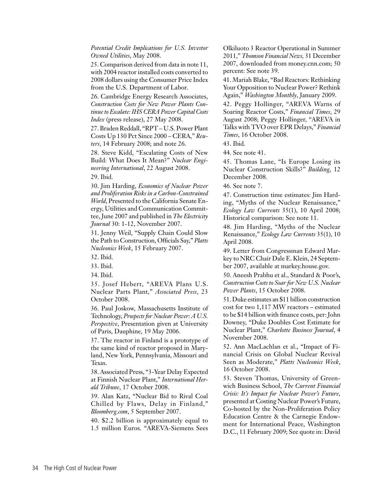*Potential Credit Implications for U.S. Investor Owned Utilities*, May 2008.

25. Comparison derived from data in note 11, with 2004 reactor installed costs converted to 2008 dollars using the Consumer Price Index from the U.S. Department of Labor.

26. Cambridge Energy Research Associates, *Construction Costs for New Power Plants Continue to Escalate: IHS CERA Power Capital Costs Index* (press release), 27 May 2008.

27. Braden Reddall, "RPT – U.S. Power Plant Costs Up 130 Pct Since 2000 – CERA," *Reuters*, 14 February 2008; and note 26.

28. Steve Kidd, "Escalating Costs of New Build: What Does It Mean?" *Nuclear Engineering International*, 22 August 2008.

29. Ibid.

30. Jim Harding, *Economics of Nuclear Power and Proliferation Risks in a Carbon-Constrained World*, Presented to the California Senate Energy, Utilities and Communication Committee, June 2007 and published in *The Electricity Journal* 30: 1-12, November 2007.

31. Jenny Weil, "Supply Chain Could Slow the Path to Construction, Officials Say," *Platts Nucleonics Week*, 15 February 2007.

32. Ibid.

33. Ibid.

34. Ibid.

35. Josef Hebert, "AREVA Plans U.S. Nuclear Parts Plant," *Associated Press*, 23 October 2008.

36. Paul Joskow, Massachusetts Institute of Technology, *Prospects for Nuclear Power: A U.S. Perspective*, Presentation given at University of Paris, Dauphine, 19 May 2006.

37. The reactor in Finland is a prototype of the same kind of reactor proposed in Maryland, New York, Pennsylvania, Missouri and Texas.

38. Associated Press, "3-Year Delay Expected at Finnish Nuclear Plant," *International Herald Tribune*, 17 October 2008.

39. Alan Katz, "Nuclear Bid to Rival Coal Chilled by Flaws, Delay in Finland," *Bloomberg.com*, 5 September 2007.

40. \$2.2 billion is approximately equal to 1.5 million Euros. "AREVA-Siemens Sees

Olkiluoto 3 Reactor Operational in Summer 2011," *Thomson Financial News,* 31 December 2007, downloaded from money.cnn.com; 50 percent: See note 39.

41. Mariah Blake, "Bad Reactors: Rethinking Your Opposition to Nuclear Power? Rethink Again," *Washington Monthly*, January 2009.

42. Peggy Hollinger, "AREVA Warns of Soaring Reactor Costs," *Financial Times*, 29 August 2008; Peggy Hollinger, "AREVA in Talks with TVO over EPR Delays," *Financial Times*, 16 October 2008.

43. Ibid.

44. See note 41.

45. Thomas Lane, "Is Europe Losing its Nuclear Construction Skills?" *Building*, 12 December 2008.

46. See note 7.

47. Construction time estimates: Jim Harding, "Myths of the Nuclear Renaissance," *Ecology Law Currents* 35(1), 10 April 2008; Historical comparison: See note 11.

48. Jim Harding, "Myths of the Nuclear Renaissance," *Ecology Law Currents* 35(1), 10 April 2008.

49. Letter from Congressman Edward Markey to NRC Chair Dale E. Klein, 24 September 2007, available at markey.house.gov.

50. Aneesh Prabhu et al., Standard & Poor's, *Construction Costs to Soar for New U.S. Nuclear Power Plants*, 15 October 2008.

51. Duke estimates an \$11 billion construction cost for two 1,117 MW reactors – estimated to be \$14 billion with finance costs, per: John Downey, "Duke Doubles Cost Estimate for Nuclear Plant," *Charlotte Business Journal*, 4 November 2008.

52. Ann MacLachlan et al., "Impact of Financial Crisis on Global Nuclear Revival Seen as Moderate," *Platts Nucleonics Week*, 16 October 2008.

53. Steven Thomas, University of Greenwich Business School, *The Current Financial Crisis: It's Impact for Nuclear Power's Future,* presented at Costing Nuclear Power's Future, Co-hosted by the Non-Proliferation Policy Education Centre & the Carnegie Endowment for International Peace, Washington D.C., 11 February 2009; See quote in: David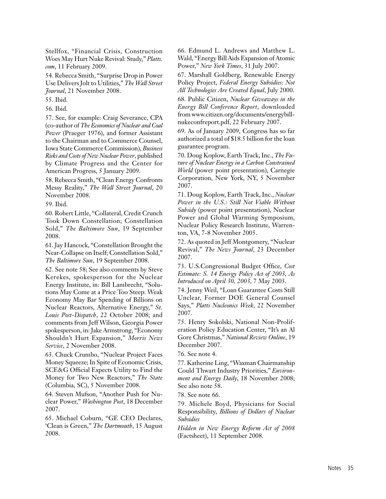Stellfox, "Financial Crisis, Construction Woes May Hurt Nuke Revival: Study," *Platts. com*, 11 February 2009.

54. Rebecca Smith, "Surprise Drop in Power Use Delivers Jolt to Utilities," *The Wall Street Journal*, 21 November 2008.

55. Ibid.

56. Ibid.

57. See, for example: Craig Severance, CPA (co-author of *The Economics of Nuclear and Coal Power* (Praeger 1976), and former Assistant to the Chairman and to Commerce Counsel, Iowa State Commerce Commission), *Business Risks and Costs of New Nuclear Power*, published by Climate Progress and the Center for American Progress, 5 January 2009.

58. Rebecca Smith, "Clean Energy Confronts Messy Reality," *The Wall Street Journal*, 20 November 2008.

59. Ibid.

60. Robert Little, "Collateral, Credit Crunch Took Down Constellation; Constellation Sold," *The Baltimore Sun*, 19 September 2008.

61. Jay Hancock, "Constellation Brought the Near-Collapse on Itself; Constellation Sold," *The Baltimore Sun*, 19 September 2008.

62. See note 58; See also comments by Steve Kerekes, spokesperson for the Nuclear Energy Institute, in: Bill Lambrecht, "Solutions May Come at a Price Too Steep: Weak Economy May Bar Spending of Billions on Nuclear Reactors, Alternative Energy," *St. Louis Post-Dispatch*, 22 October 2008; and comments from Jeff Wilson, Georgia Power spokesperson, in:Jake Armstrong, "Economy Shouldn't Hurt Expansion," *Morris News Service*, 2 November 2008.

63. Chuck Crumbo, "Nuclear Project Faces Money Squeeze;In Spite of Economic Crisis, SCE&G Official Expects Utility to Find the Money for Two New Reactors," *The State*  (Columbia, SC), 5 November 2008.

64. Steven Mufson, "Another Push for Nuclear Power," *Washington Post*, 18 December 2007.

65. Michael Coburn, "GE CEO Declares, 'Clean is Green," *The Dartmouth*, 15 August 2008.

66. Edmund L. Andrews and Matthew L. Wald, "Energy Bill Aids Expansion of Atomic Power," *New York Times*, 31 July 2007.

67. Marshall Goldberg, Renewable Energy Policy Project, *Federal Energy Subsidies: Not All Technologies Are Created Equal*, July 2000. 68. Public Citizen, *Nuclear Giveaways in the Energy Bill Conference Report*, downloaded from www.citizen.org/documents/energybillnukeconfreport.pdf, 22 February 2007.

69. As of January 2009, Congress has so far authorized a total of \$18.5 billion for the loan guarantee program.

70. Doug Koplow, Earth Track, Inc., *The Future of Nuclear Energy in a Carbon Constrained World* (power point presentation), Carnegie Corporation, New York, NY, 5 November 2007.

71. Doug Koplow, Earth Track, Inc., *Nuclear Power in the U.S.: Still Not Viable Without Subsidy* (power point presentation), Nuclear Power and Global Warming Symposium, Nuclear Policy Research Institute, Warrenton, VA, 7-8 November 2005.

72. As quoted in Jeff Montgomery, "Nuclear Revival," *The News Journal*, 23 December 2007.

73. U.S.Congressional Budget Office, *Cost Estimate: S. 14 Energy Policy Act of 2003, As Introduced on April 30, 2003*, 7 May 2003.

74. Jenny Weil, "Loan Guarantee Costs Still Unclear, Former DOE General Counsel Says," *Platts Nucleonics Week*, 22 November 2007.

75. Henry Sokolski, National Non-Proliferation Policy Education Center, "It's an Al Gore Christmas," *National Review Online*, 19 December 2007.

76. See note 4.

77. Katherine Ling, "Waxman Chairmanship Could Thwart Industry Priorities," *Environment and Energy Daily*, 18 November 2008; See also note 58.

78. See note 66.

79. Michele Boyd, Physicians for Social Responsibility, *Billions of Dollars of Nuclear Subsidies*

*Hidden in New Energy Reform Act of 2008* (Factsheet), 11 September 2008.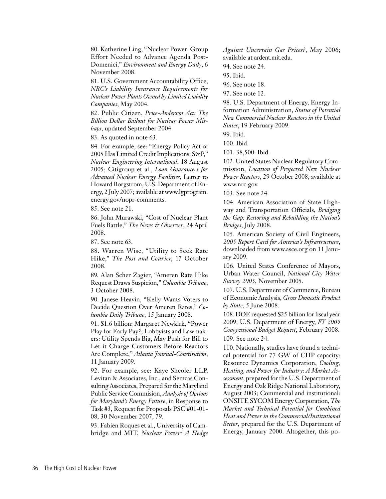80. Katherine Ling, "Nuclear Power: Group Effort Needed to Advance Agenda Post-Domenici," *Environment and Energy Daily*, 6 November 2008.

81. U.S. Government Accountability Office, *NRC's Liability Insurance Requirements for Nuclear Power Plants Owned by Limited Liability Companies*, May 2004.

82. Public Citizen, *Price-Anderson Act: The Billion Dollar Bailout for Nuclear Power Mishaps*, updated September 2004.

83. As quoted in note 63.

84. For example, see: "Energy Policy Act of 2005 Has Limited Credit Implications: S&P," *Nuclear Engineering International*, 18 August 2005; Citigroup et al., *Loan Guarantees for Advanced Nuclear Energy Facilities*, Letter to Howard Borgstrom, U.S. Department of Energy, 2 July 2007; available at www.lgprogram. energy.gov/nopr-comments.

85. See note 21.

86. John Murawski, "Cost of Nuclear Plant Fuels Battle," *The News & Observer*, 24 April 2008.

87. See note 63.

88. Warren Wise, "Utility to Seek Rate Hike," *The Post and Courier*, 17 October 2008.

89. Alan Scher Zagier, "Ameren Rate Hike Request Draws Suspicion," *Columbia Tribune*, 3 October 2008.

90. Janese Heavin, "Kelly Wants Voters to Decide Question Over Ameren Rates," *Columbia Daily Tribune*, 15 January 2008.

91. \$1.6 billion: Margaret Newkirk, "Power Play for Early Pay?; Lobbyists and Lawmakers: Utility Spends Big, May Push for Bill to Let it Charge Customers Before Reactors Are Complete," *Atlanta Journal-Constitution*, 11 January 2009.

92. For example, see: Kaye Shcoler LLP, Levitan & Associates, Inc., and Semcas Consulting Associates, Prepared for the Maryland Public Service Commision, *Analysis of Options for Maryland's Energy Future*, in Response to Task #3, Request for Proposals PSC #01-01- 08, 30 November 2007, 79.

93. Fabien Roques et al., University of Cambridge and MIT, *Nuclear Power: A Hedge*  *Against Uncertain Gas Prices?*, May 2006; available at ardent.mit.edu.

94. See note 24.

95. Ibid.

96. See note 18.

97. See note 12.

98. U.S. Department of Energy, Energy Information Administration, *Status of Potential New Commercial Nuclear Reactors in the United States*, 19 February 2009.

99. Ibid.

100. Ibid.

101. 38,500: Ibid.

102. United States Nuclear Regulatory Commission, *Location of Projected New Nuclear Power Reactors*, 29 October 2008, available at www.nrc.gov.

103. See note 24.

104. American Association of State Highway and Transportation Officials, *Bridging the Gap: Restoring and Rebuilding the Nation's Bridges*, July 2008.

105. American Society of Civil Engineers, *2005 Report Card for America's Infrastructure*, downloaded from www.asce.org on 11 January 2009.

106. United States Conference of Mayors, Urban Water Council, *National City Water Survey 2005,* November 2005.

107. U.S. Department of Commerce, Bureau of Economic Analysis, *Gross Domestic Product by State*, 5 June 2008.

108. DOE requested \$25 billion for fiscal year 2009: U.S. Department of Energy, *FY 2009 Congressional Budget Request*, February 2008. 109. See note 24.

110. Nationally, studies have found a technical potential for 77 GW of CHP capacity: Resource Dynamics Corporation, *Cooling, Heating, and Power for Industry: A Market Assessment*, prepared for the U.S. Department of Energy and Oak Ridge National Laboratory, August 2003; Commercial and institutional: ONSITE SYCOM Energy Corporation, *The Market and Technical Potential for Combined Heat and Power in the Commercial/Institutional Sector*, prepared for the U.S. Department of Energy, January 2000. Altogether, this po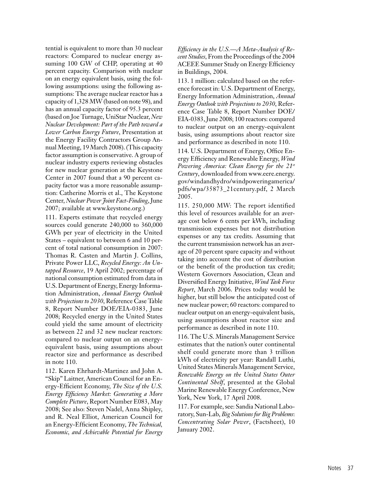tential is equivalent to more than 30 nuclear reactors: Compared to nuclear energy assuming 100 GW of CHP, operating at 40 percent capacity. Comparison with nuclear on an energy equivalent basis, using the following assumptions: using the following assumptions: The average nuclear reactor has a capacity of 1,328 MW(based on note 98), and has an annual capacity factor of 95.3 percent (based on Joe Turnage, UniStar Nuclear, *New Nuclear Development: Part of the Path toward a Lower Carbon Energy Future*, Presentation at the Energy Facility Contractors Group Annual Meeting, 19 March 2008). (This capacity factor assumption is conservative. A group of nuclear industry experts reviewing obstacles for new nuclear generation at the Keystone Center in 2007 found that a 90 percent capacity factor was a more reasonable assumption: Catherine Morris et al., The Keystone Center, *Nuclear Power Joint Fact-Finding*, June 2007; available at www.keystone.org.)

111. Experts estimate that recycled energy sources could generate 240,000 to 360,000 GWh per year of electricity in the United States – equivalent to between 6 and 10 percent of total national consumption in 2007: Thomas R. Casten and Martin J. Collins, Private Power LLC, *Recycled Energy: An Untapped Resource*, 19 April 2002; percentage of national consumption estimated from data in U.S. Department of Energy, Energy Information Administration, *Annual Energy Outlook with Projections to 2030*, Reference Case Table 8, Report Number DOE/EIA-0383, June 2008; Recycled energy in the United States could yield the same amount of electricity as between 22 and 32 new nuclear reactors: compared to nuclear output on an energyequivalent basis, using assumptions about reactor size and performance as described in note 110.

112. Karen Ehrhardt-Martinez and John A. "Skip" Laitner, American Council for an Energy-Efficient Economy, *The Size of the U.S. Energy Efficiency Market: Generating a More Complete Picture*, Report Number E083, May 2008; See also: Steven Nadel, Anna Shipley, and R. Neal Elliot, American Council for an Energy-Efficient Economy, *The Technical, Economic, and Achievable Potential for Energy*  *Efficiency in the U.S.—A Meta-Analysis of Recent Studies*, From the Proceedings of the 2004 ACEEE Summer Study on Energy Efficiency in Buildings, 2004.

113. 1 million: calculated based on the reference forecast in: U.S. Department of Energy, Energy Information Administration, *Annual Energy Outlook with Projections to 2030*, Reference Case Table 8, Report Number DOE/ EIA-0383,June 2008; 100 reactors: compared to nuclear output on an energy-equivalent basis, using assumptions about reactor size and performance as described in note 110.

114. U.S. Department of Energy, Office Energy Efficiency and Renewable Energy, *Wind Powering America: Clean Energy for the 21st Century*, downloaded from www.eere.energy. gov/windandhydro/windpoweringamerica/ pdfs/wpa/35873\_21century.pdf, 2 March 2005.

115. 250,000 MW: The report identified this level of resources available for an average cost below 6 cents per kWh, including transmission expenses but not distribution expenses or any tax credits. Assuming that the current transmission network has an average of 20 percent spare capacity and without taking into account the cost of distribution or the benefit of the production tax credit; Western Governors Association, Clean and Diversified Energy Initiative, *Wind Task Force Report*, March 2006. Prices today would be higher, but still below the anticipated cost of new nuclear power; 60 reactors: compared to nuclear output on an energy-equivalent basis, using assumptions about reactor size and performance as described in note 110.

116. The U.S. Minerals Management Service estimates that the nation's outer continental shelf could generate more than 3 trillion kWh of electricity per year: Randall Luthi, United States Minerals Management Service, *Renewable Energy on the United States Outer Continental Shelf*, presented at the Global Marine Renewable Energy Conference, New York, New York, 17 April 2008.

117. For example, see: Sandia National Laboratory, Sun-Lab, *Big Solutions for Big Problems*: *Concentrating Solar Power*, (Factsheet), 10 January 2002.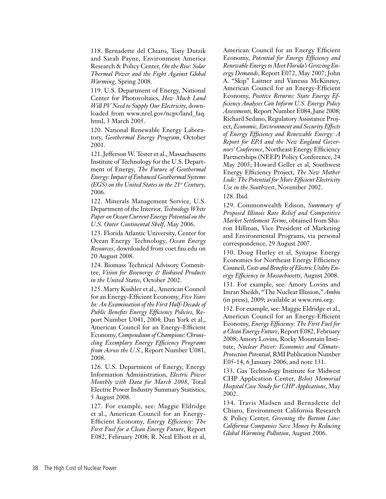118. Bernadette del Chiaro, Tony Dutzik and Sarah Payne, Environment America Research & Policy Center, *On the Rise: Solar Thermal Power and the Fight Against Global Warming*, Spring 2008.

119. U.S. Department of Energy, National Center for Photovoltaics, *How Much Land Will PV Need to Supply Our Electricity*, downloaded from www.nrel.gov/ncpv/land\_faq. html, 3 March 2005.

120. National Renewable Energy Laboratory, *Geothermal Energy Program*, October 2001.

121.JeffersonW. Tester et al., Massachusetts Institute of Technology for the U.S. Department of Energy, *The Future of Geothermal Energy: Impact of Enhanced Geothermal Systems (EGS) on the United States in the 21st Century*, 2006.

122. Minerals Management Service, U.S. Department of the Interior, *Technology White Paper on Ocean Current Energy Potential on the U.S. Outer Continental Shelf*, May 2006.

123. Florida Atlantic University, Center for Ocean Energy Technology, *Ocean Energy Resources*, downloaded from coet.fau.edu on 20 August 2008.

124. Biomass Technical Advisory Committee, *Vision for Bioenergy & Biobased Products in the United States*, October 2002.

125. Marty Kushler et al., American Council for an Energy-Efficient Economy, *Five Years In: An Examination of the First Half-Decade of Public Benefits Energy Efficiency Policies*, Report Number U041, 2004; Dan York et al., American Council for an Energy-Efficient Economy, *Compendium of Champions: Chronicling Exemplary Energy Efficiency Programs from Across the U.S.*, Report Number U081, 2008.

126. U.S. Department of Energy, Energy Information Administration, *Electric Power Monthly with Data for March 2008*, Total Electric Power Industry Summary Statistics, 5 August 2008.

127. For example, see: Maggie Eldridge et al., American Council for an Energy-Efficient Economy, *Energy Efficiency: The First Fuel for a Clean Energy Future*, Report E082, February 2008; R. Neal Elliott et al,

American Council for an Energy Efficient Economy, *Potential for Energy Efficiency and Renewable Energy to Meet Florida's Growing Energy Demands*, Report E072, May 2007; John A. "Skip" Laitner and Vanessa McKinney, American Council for an Energy-Efficient Economy, *Positive Returns: State Energy Efficiency Analyses Can Inform U.S. Energy Policy*  Assessments, Report Number E084, June 2008; Richard Sedano, Regulatory Assistance Project, *Economic, Environment and Security Effects of Energy Efficiency and Renewable Energy: A Report for EPA and the New England Governors' Conference*, Northeast Energy Efficiency Partnerships (NEEP) Policy Conference, 24 May 2005; Howard Geller et al, Southwest Energy Efficiency Project, *The New Mother Lode: The Potential for More Efficient Electricity Use in the Southwest*, November 2002.

128. Ibid.

129. Commonwealth Edison, *Summary of Proposed Illinois Rate Relief and Competitive Market Settlement Terms*, obtained from Sharon Hillman, Vice President of Marketing and Environmental Programs, via personal correspondence, 29 August 2007.

130. Doug Hurley et al, Synapse Energy Economics for Northeast Energy Efficiency Council, *Costs and Benefits of Electric Utility Energy Efficiency in Massachusetts*, August 2008.

131. For example, see: Amory Lovins and Imran Sheikh, "The NuclearIllusion," *Ambio* (in press), 2009; available at www.rmi.org.

132. For example, see: Maggie Eldridge et al., American Council for an Energy-Efficient Economy, *Energy Efficiency: The First Fuel for a Clean Energy Future*, Report E082, February 2008; Amory Lovins, Rocky Mountain Institute, *Nuclear Power: Economics and Climate-Protection Potential*, RMI Publication Number E05-14, 6 January 2006; and note 131.

133. Gas Technology Institute for Midwest CHP Application Center, *Beloit Memorial Hospital Case Study for CHP Applications*, May 2002.

134. Travis Madsen and Bernadette del Chiaro, Environment California Research & Policy Center, *Greening the Bottom Line: California Companies Save Money by Reducing Global Warming Pollution*, August 2006.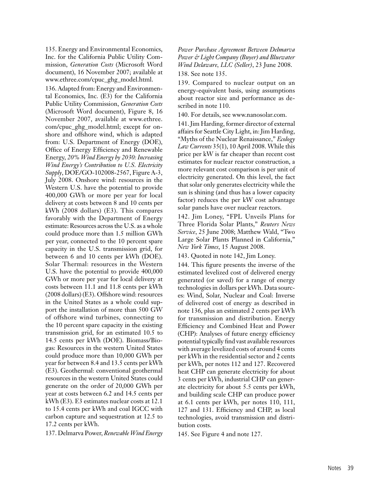135. Energy and Environmental Economics, Inc. for the California Public Utility Commission, *Generation Costs* (Microsoft Word document), 16 November 2007; available at www.ethree.com/cpuc\_ghg\_model.html.

136. Adapted from: Energy and Environmental Economics, Inc. (E3) for the California Public Utility Commission, *Generation Costs* (Microsoft Word document), Figure 8, 16 November 2007, available at www.ethree. com/cpuc\_ghg\_model.html; except for onshore and offshore wind, which is adapted from: U.S. Department of Energy (DOE), Office of Energy Efficiency and Renewable Energy, *20% Wind Energy by 2030: Increasing Wind Energy's Contribution to U.S. Electricity Supply*, DOE/GO-102008-2567, Figure A-3, July 2008. Onshore wind: resources in the Western U.S. have the potential to provide 400,000 GWh or more per year for local delivery at costs between 8 and 10 cents per kWh (2008 dollars) (E3). This compares favorably with the Department of Energy estimate: Resources acrossthe U.S. as a whole could produce more than 1.5 million GWh per year, connected to the 10 percent spare capacity in the U.S. transmission grid, for between 6 and 10 cents per kWh (DOE). Solar Thermal: resources in the Western U.S. have the potential to provide 400,000 GWh or more per year for local delivery at costs between 11.1 and 11.8 cents per kWh  $(2008$  dollars) (E3). Offshore wind: resources in the United States as a whole could support the installation of more than 500 GW of offshore wind turbines, connecting to the 10 percent spare capacity in the existing transmission grid, for an estimated 10.5 to 14.5 cents per kWh (DOE). Biomass/Biogas: Resources in the western United States could produce more than 10,000 GWh per year for between 8.4 and 13.5 cents per kWh (E3). Geothermal: conventional geothermal resources in the western United States could generate on the order of 20,000 GWh per year at costs between 6.2 and 14.5 cents per kWh (E3). E3 estimates nuclear costs at 12.1 to 15.4 cents per kWh and coal IGCC with carbon capture and sequestration at 12.5 to 17.2 cents per kWh.

137. Delmarva Power, *Renewable Wind Energy* 

*Power Purchase Agreement Between Delmarva Power & Light Company (Buyer) and Bluewater Wind Delaware, LLC (Seller)*, 23 June 2008.

138. See note 135.

139. Compared to nuclear output on an energy-equivalent basis, using assumptions about reactor size and performance as described in note 110.

140. For details, see www.nanosolar.com.

141. Jim Harding, former director of external affairs for Seattle City Light, in: Jim Harding, "Myths of the Nuclear Renaissance," *Ecology Law Currents* 35(1), 10 April 2008. While this price per kW is far cheaper than recent cost estimates for nuclear reactor construction, a more relevant cost comparison is per unit of electricity generated. On this level, the fact that solar only generates electricity while the sun is shining (and thus has a lower capacity factor) reduces the per kW cost advantage solar panels have over nuclear reactors.

142. Jim Loney, "FPL Unveils Plans for Three Florida Solar Plants," *Reuters News Service*, 25 June 2008; Matthew Wald, "Two Large Solar Plants Planned in California," *New York Times*, 15 August 2008.

143. Quoted in note 142, Jim Loney.

144. This figure presents the inverse of the estimated levelized cost of delivered energy generated (or saved) for a range of energy technologies in dollars per kWh. Data sources: Wind, Solar, Nuclear and Coal: Inverse of delivered cost of energy as described in note 136, plus an estimated 2 cents per kWh for transmission and distribution. Energy Efficiency and Combined Heat and Power (CHP): Analyses of future energy efficiency potential typically find vast available resources with average levelized costs of around 4 cents per kWh in the residential sector and 2 cents per kWh, per notes 112 and 127. Recovered heat CHP can generate electricity for about 3 cents per kWh, industrial CHP can generate electricity for about 5.5 cents per kWh, and building scale CHP can produce power at 6.1 cents per kWh, per notes 110, 111, 127 and 131. Efficiency and CHP, as local technologies, avoid transmission and distribution costs.

145. See Figure 4 and note 127.